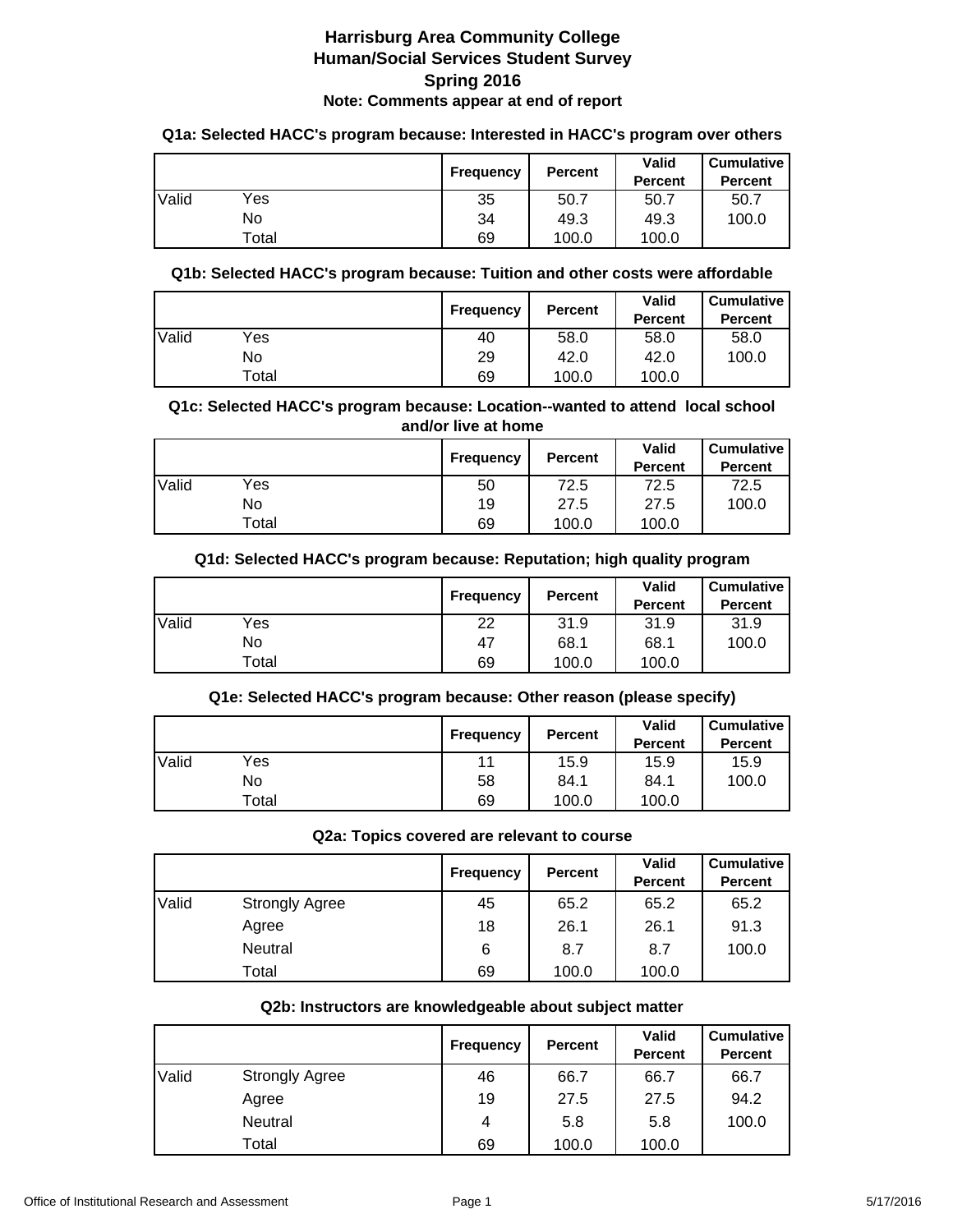#### **Q1a: Selected HACC's program because: Interested in HACC's program over others**

|       |       | <b>Frequency</b> | <b>Percent</b> | Valid<br><b>Percent</b> | <b>Cumulative</b><br><b>Percent</b> |
|-------|-------|------------------|----------------|-------------------------|-------------------------------------|
| Valid | Yes   | 35               | 50.7           | 50.7                    | 50.7                                |
|       | No    | 34               | 49.3           | 49.3                    | 100.0                               |
|       | Total | 69               | 100.0          | 100.0                   |                                     |

#### **Q1b: Selected HACC's program because: Tuition and other costs were affordable**

|       |       | Frequency | <b>Percent</b> | <b>Valid</b><br><b>Percent</b> | <b>Cumulative</b><br><b>Percent</b> |
|-------|-------|-----------|----------------|--------------------------------|-------------------------------------|
| Valid | Yes   | 40        | 58.0           | 58.0                           | 58.0                                |
|       | No    | 29        | 42.0           | 42.0                           | 100.0                               |
|       | ⊤otal | 69        | 100.0          | 100.0                          |                                     |

#### **Q1c: Selected HACC's program because: Location--wanted to attend local school and/or live at home**

|       |       | Frequency | <b>Percent</b> | Valid<br><b>Percent</b> | <b>Cumulative</b><br><b>Percent</b> |
|-------|-------|-----------|----------------|-------------------------|-------------------------------------|
| Valid | Yes   | 50        | 72.5           | 72.5                    | 72.5                                |
|       | No    | 19        | 27.5           | 27.5                    | 100.0                               |
|       | Total | 69        | 100.0          | 100.0                   |                                     |

## **Q1d: Selected HACC's program because: Reputation; high quality program**

|       |       | Frequency | <b>Percent</b> | <b>Valid</b><br><b>Percent</b> | <b>Cumulative</b><br><b>Percent</b> |
|-------|-------|-----------|----------------|--------------------------------|-------------------------------------|
| Valid | Yes   | 22        | 31.9           | 31.9                           | 31.9                                |
|       | No    | 47        | 68.1           | 68.1                           | 100.0                               |
|       | Total | 69        | 100.0          | 100.0                          |                                     |

## **Q1e: Selected HACC's program because: Other reason (please specify)**

|       |       | <b>Frequency</b> | <b>Percent</b> | Valid<br><b>Percent</b> | <b>Cumulative</b><br><b>Percent</b> |
|-------|-------|------------------|----------------|-------------------------|-------------------------------------|
| Valid | Yes   | 11               | 15.9           | 15.9                    | 15.9                                |
|       | No    | 58               | 84.1           | 84.1                    | 100.0                               |
|       | Total | 69               | 100.0          | 100.0                   |                                     |

#### **Q2a: Topics covered are relevant to course**

|       |                       | Frequency | <b>Percent</b> | <b>Valid</b><br><b>Percent</b> | <b>Cumulative</b><br><b>Percent</b> |
|-------|-----------------------|-----------|----------------|--------------------------------|-------------------------------------|
| Valid | <b>Strongly Agree</b> | 45        | 65.2           | 65.2                           | 65.2                                |
|       | Agree                 | 18        | 26.1           | 26.1                           | 91.3                                |
|       | Neutral               | 6         | 8.7            | 8.7                            | 100.0                               |
|       | Total                 | 69        | 100.0          | 100.0                          |                                     |

#### **Q2b: Instructors are knowledgeable about subject matter**

|       |                       | <b>Frequency</b> | <b>Percent</b> | Valid<br><b>Percent</b> | <b>Cumulative</b><br>Percent |
|-------|-----------------------|------------------|----------------|-------------------------|------------------------------|
| Valid | <b>Strongly Agree</b> | 46               | 66.7           | 66.7                    | 66.7                         |
|       | Agree                 | 19               | 27.5           | 27.5                    | 94.2                         |
|       | Neutral               | 4                | 5.8            | 5.8                     | 100.0                        |
|       | Total                 | 69               | 100.0          | 100.0                   |                              |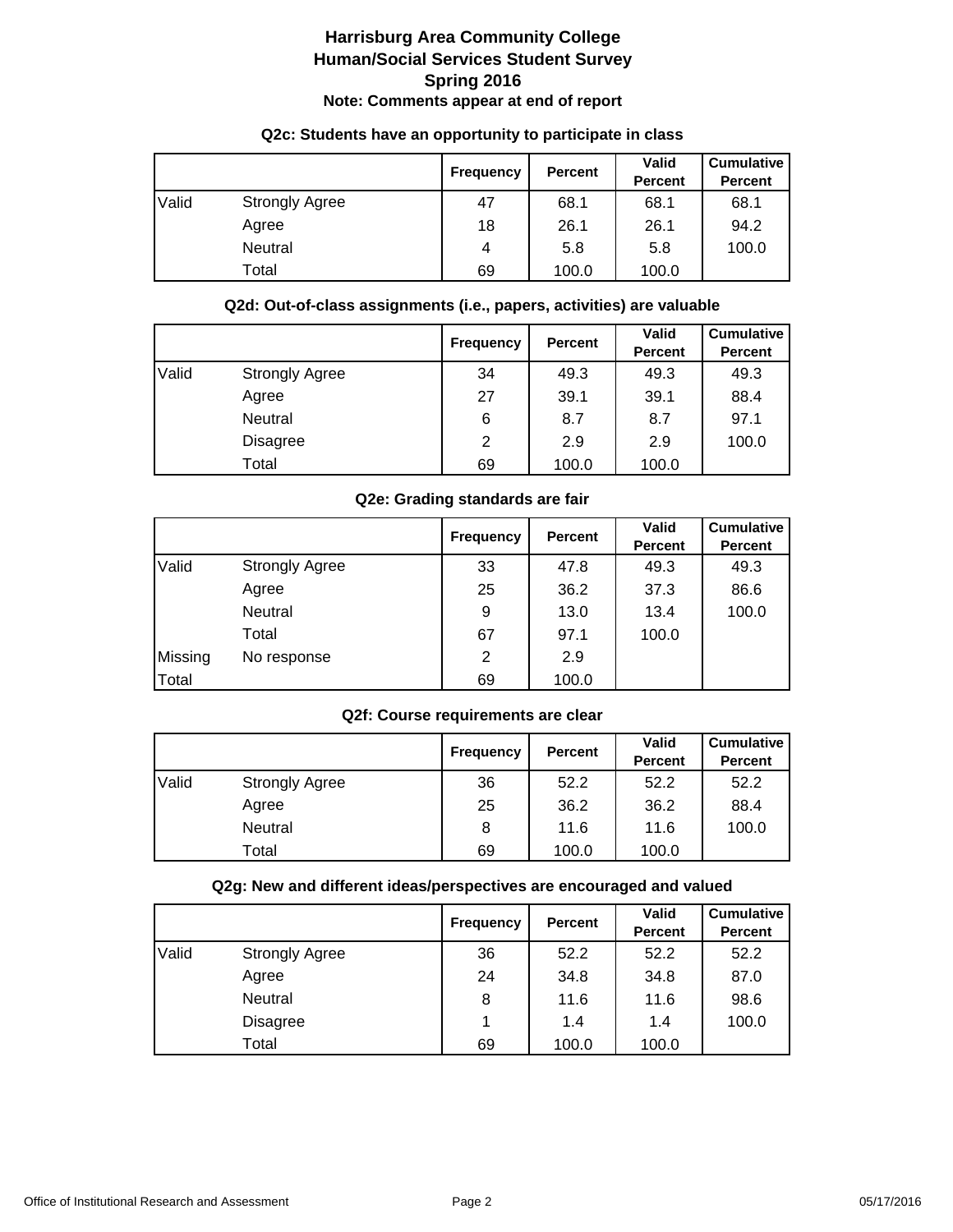|       |                       | <b>Frequency</b> | Percent | <b>Valid</b><br><b>Percent</b> | <b>Cumulative</b><br><b>Percent</b> |
|-------|-----------------------|------------------|---------|--------------------------------|-------------------------------------|
| Valid | <b>Strongly Agree</b> | 47               | 68.1    | 68.1                           | 68.1                                |
|       | Agree                 | 18               | 26.1    | 26.1                           | 94.2                                |
|       | Neutral               | 4                | 5.8     | 5.8                            | 100.0                               |
|       | Total                 | 69               | 100.0   | 100.0                          |                                     |

## **Q2c: Students have an opportunity to participate in class**

## **Q2d: Out-of-class assignments (i.e., papers, activities) are valuable**

|       |                       | <b>Frequency</b> | <b>Percent</b> | <b>Valid</b><br><b>Percent</b> | <b>Cumulative</b><br><b>Percent</b> |
|-------|-----------------------|------------------|----------------|--------------------------------|-------------------------------------|
| Valid | <b>Strongly Agree</b> | 34               | 49.3           | 49.3                           | 49.3                                |
|       | Agree                 | 27               | 39.1           | 39.1                           | 88.4                                |
|       | <b>Neutral</b>        | 6                | 8.7            | 8.7                            | 97.1                                |
|       | <b>Disagree</b>       | 2                | 2.9            | 2.9                            | 100.0                               |
|       | Total                 | 69               | 100.0          | 100.0                          |                                     |

## **Q2e: Grading standards are fair**

|         |                       | <b>Frequency</b> | <b>Percent</b> | <b>Valid</b><br><b>Percent</b> | <b>Cumulative</b><br><b>Percent</b> |
|---------|-----------------------|------------------|----------------|--------------------------------|-------------------------------------|
| Valid   | <b>Strongly Agree</b> | 33               | 47.8           | 49.3                           | 49.3                                |
|         | Agree                 | 25               | 36.2           | 37.3                           | 86.6                                |
|         | Neutral               | 9                | 13.0           | 13.4                           | 100.0                               |
|         | Total                 | 67               | 97.1           | 100.0                          |                                     |
| Missing | No response           | 2                | 2.9            |                                |                                     |
| Total   |                       | 69               | 100.0          |                                |                                     |

## **Q2f: Course requirements are clear**

|       |                       | <b>Frequency</b> | <b>Percent</b> | Valid<br><b>Percent</b> | <b>Cumulative</b><br><b>Percent</b> |
|-------|-----------------------|------------------|----------------|-------------------------|-------------------------------------|
| Valid | <b>Strongly Agree</b> | 36               | 52.2           | 52.2                    | 52.2                                |
|       | Agree                 | 25               | 36.2           | 36.2                    | 88.4                                |
|       | <b>Neutral</b>        | 8                | 11.6           | 11.6                    | 100.0                               |
|       | Total                 | 69               | 100.0          | 100.0                   |                                     |

## **Q2g: New and different ideas/perspectives are encouraged and valued**

|       |                       | <b>Frequency</b> | <b>Percent</b> | <b>Valid</b><br><b>Percent</b> | <b>Cumulative</b><br><b>Percent</b> |
|-------|-----------------------|------------------|----------------|--------------------------------|-------------------------------------|
| Valid | <b>Strongly Agree</b> | 36               | 52.2           | 52.2                           | 52.2                                |
|       | Agree                 | 24               | 34.8           | 34.8                           | 87.0                                |
|       | Neutral               | 8                | 11.6           | 11.6                           | 98.6                                |
|       | <b>Disagree</b>       |                  | 1.4            | 1.4                            | 100.0                               |
|       | Total                 | 69               | 100.0          | 100.0                          |                                     |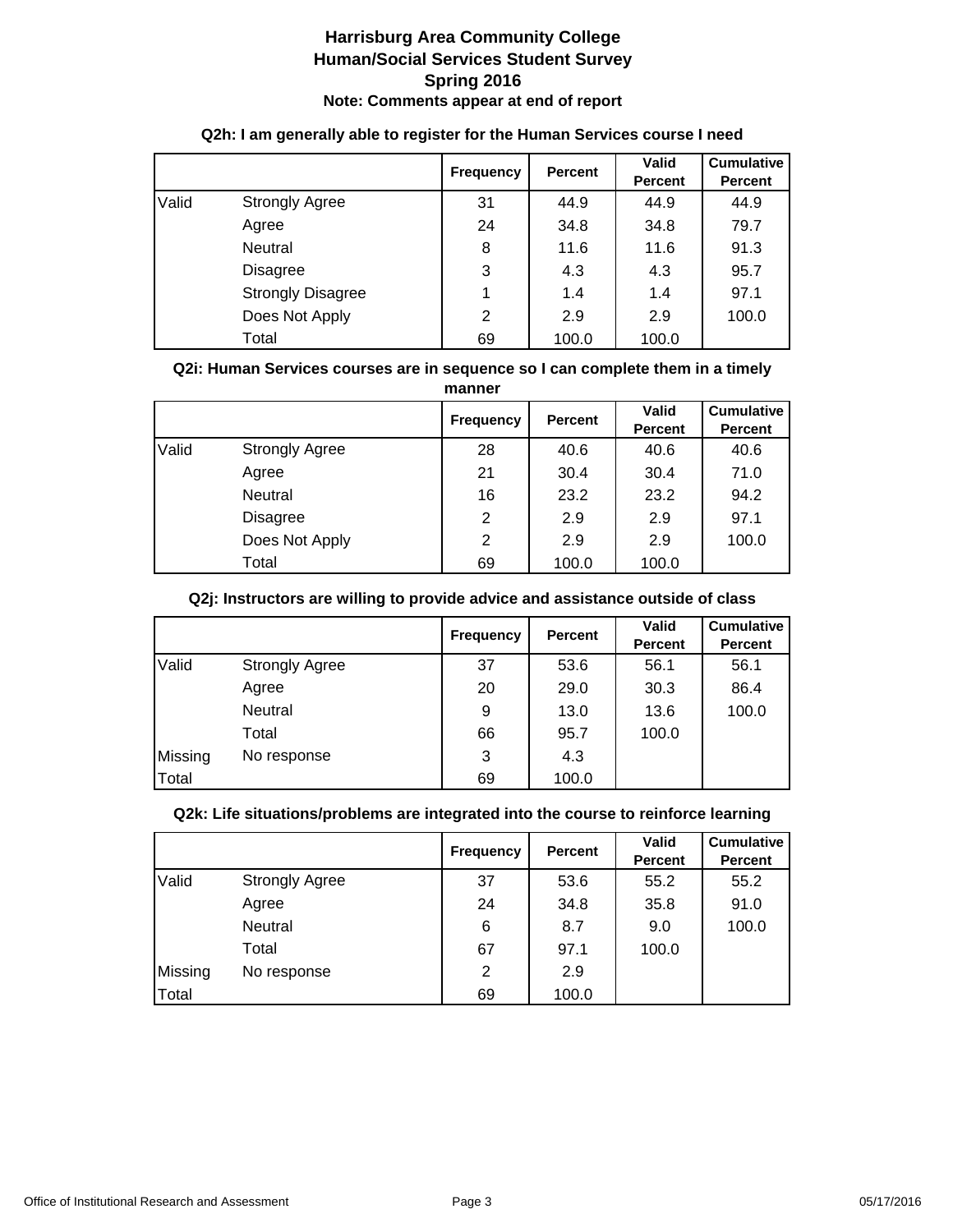|       |                          | <b>Frequency</b> | <b>Percent</b> | <b>Valid</b><br><b>Percent</b> | <b>Cumulative</b><br><b>Percent</b> |
|-------|--------------------------|------------------|----------------|--------------------------------|-------------------------------------|
| Valid | <b>Strongly Agree</b>    | 31               | 44.9           | 44.9                           | 44.9                                |
|       | Agree                    | 24               | 34.8           | 34.8                           | 79.7                                |
|       | Neutral                  | 8                | 11.6           | 11.6                           | 91.3                                |
|       | <b>Disagree</b>          | 3                | 4.3            | 4.3                            | 95.7                                |
|       | <b>Strongly Disagree</b> |                  | 1.4            | 1.4                            | 97.1                                |
|       | Does Not Apply           | $\overline{2}$   | 2.9            | 2.9                            | 100.0                               |
|       | Total                    | 69               | 100.0          | 100.0                          |                                     |

## **Q2h: I am generally able to register for the Human Services course I need**

#### **Q2i: Human Services courses are in sequence so I can complete them in a timely manner**

|       |                       | <b>Frequency</b> | <b>Percent</b> | <b>Valid</b><br><b>Percent</b> | <b>Cumulative</b><br><b>Percent</b> |  |
|-------|-----------------------|------------------|----------------|--------------------------------|-------------------------------------|--|
| Valid | <b>Strongly Agree</b> | 28               | 40.6           | 40.6                           | 40.6                                |  |
|       | Agree                 | 21               | 30.4           | 30.4                           | 71.0                                |  |
|       | Neutral               | 16               | 23.2           | 23.2                           | 94.2                                |  |
|       | <b>Disagree</b>       | 2                | 2.9            | 2.9                            | 97.1                                |  |
|       | Does Not Apply        | 2                | 2.9            | 2.9                            | 100.0                               |  |
|       | Total                 | 69               | 100.0          | 100.0                          |                                     |  |

## **Q2j: Instructors are willing to provide advice and assistance outside of class**

|         |                       | <b>Frequency</b> | <b>Percent</b> | <b>Valid</b><br>Percent | <b>Cumulative</b><br><b>Percent</b> |
|---------|-----------------------|------------------|----------------|-------------------------|-------------------------------------|
| Valid   | <b>Strongly Agree</b> | 37               | 53.6           | 56.1                    | 56.1                                |
|         | Agree                 | 20               | 29.0           | 30.3                    | 86.4                                |
|         | Neutral               | 9                | 13.0           | 13.6                    | 100.0                               |
|         | Total                 | 66               | 95.7           | 100.0                   |                                     |
| Missing | No response           | 3                | 4.3            |                         |                                     |
| Total   |                       | 69               | 100.0          |                         |                                     |

## **Q2k: Life situations/problems are integrated into the course to reinforce learning**

|         |                       | <b>Frequency</b> | <b>Percent</b> | <b>Valid</b><br><b>Percent</b> | <b>Cumulative</b><br><b>Percent</b> |
|---------|-----------------------|------------------|----------------|--------------------------------|-------------------------------------|
| Valid   | <b>Strongly Agree</b> | 37               | 53.6           | 55.2                           | 55.2                                |
|         | Agree                 | 24               | 34.8           | 35.8                           | 91.0                                |
|         | <b>Neutral</b>        | 6                | 8.7            | 9.0                            | 100.0                               |
|         | Total                 | 67               | 97.1           | 100.0                          |                                     |
| Missing | No response           | 2                | 2.9            |                                |                                     |
| Total   |                       | 69               | 100.0          |                                |                                     |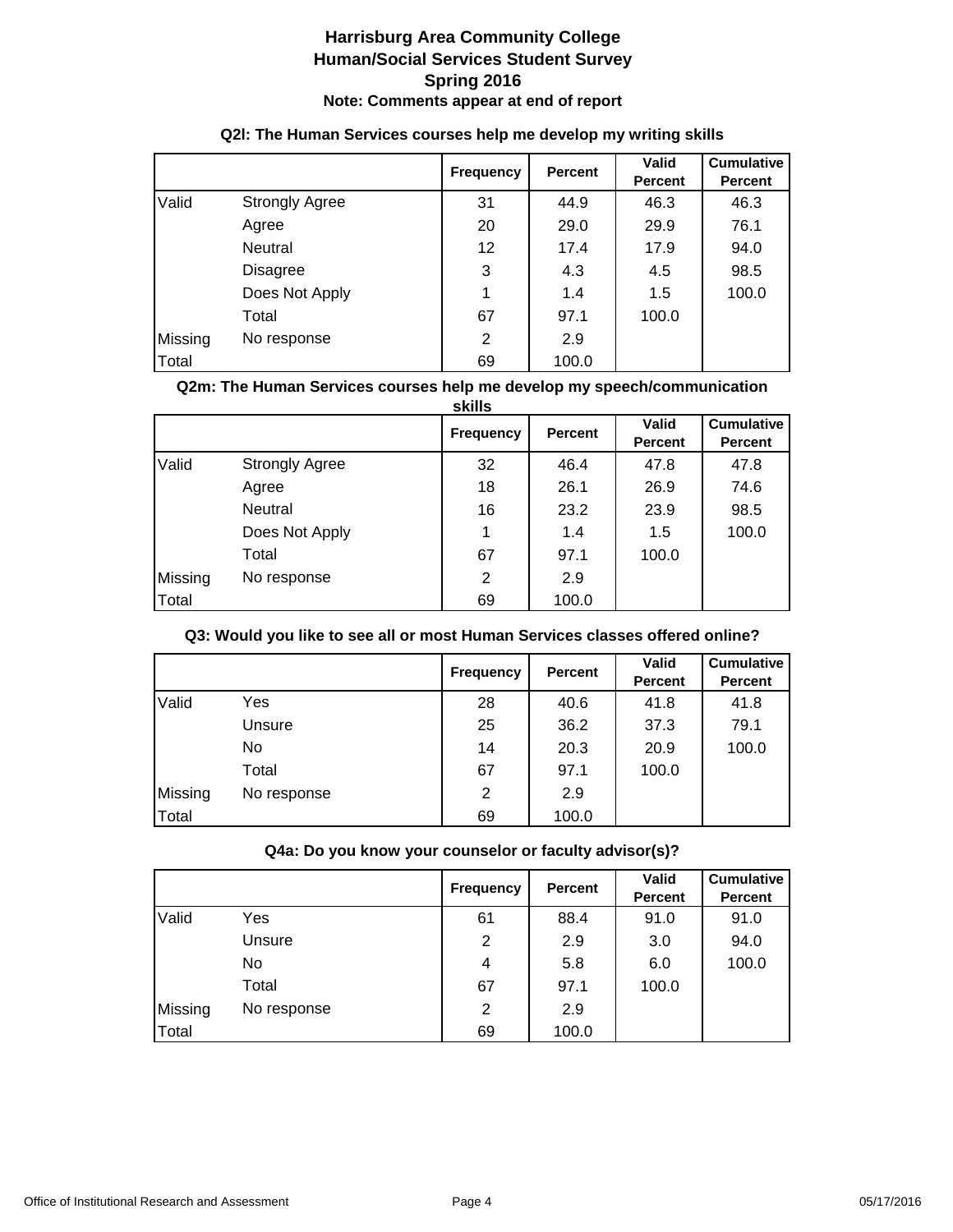|         |                       | <b>Frequency</b> | <b>Percent</b> | <b>Valid</b><br><b>Percent</b> | <b>Cumulative</b><br><b>Percent</b> |
|---------|-----------------------|------------------|----------------|--------------------------------|-------------------------------------|
| Valid   | <b>Strongly Agree</b> | 31               | 44.9           | 46.3                           | 46.3                                |
|         | Agree                 | 20               | 29.0           | 29.9                           | 76.1                                |
|         | <b>Neutral</b>        | 12 <sup>2</sup>  | 17.4           | 17.9                           | 94.0                                |
|         | <b>Disagree</b>       | 3                | 4.3            | 4.5                            | 98.5                                |
|         | Does Not Apply        |                  | 1.4            | 1.5                            | 100.0                               |
|         | Total                 | 67               | 97.1           | 100.0                          |                                     |
| Missing | No response           | 2                | 2.9            |                                |                                     |
| Total   |                       | 69               | 100.0          |                                |                                     |

## **Q2l: The Human Services courses help me develop my writing skills**

#### **Q2m: The Human Services courses help me develop my speech/communication**

|         |                       | skills           |                |                                |                                     |
|---------|-----------------------|------------------|----------------|--------------------------------|-------------------------------------|
|         |                       | <b>Frequency</b> | <b>Percent</b> | <b>Valid</b><br><b>Percent</b> | <b>Cumulative</b><br><b>Percent</b> |
| Valid   | <b>Strongly Agree</b> | 32               | 46.4           | 47.8                           | 47.8                                |
|         | Agree                 | 18               | 26.1           | 26.9                           | 74.6                                |
|         | Neutral               | 16               | 23.2           | 23.9                           | 98.5                                |
|         | Does Not Apply        | 1                | 1.4            | 1.5                            | 100.0                               |
|         | Total                 | 67               | 97.1           | 100.0                          |                                     |
| Missing | No response           | $\overline{2}$   | 2.9            |                                |                                     |
| Total   |                       | 69               | 100.0          |                                |                                     |

## **Q3: Would you like to see all or most Human Services classes offered online?**

|         |             | <b>Frequency</b> | <b>Percent</b> | Valid<br><b>Percent</b> | <b>Cumulative</b><br><b>Percent</b> |
|---------|-------------|------------------|----------------|-------------------------|-------------------------------------|
| Valid   | Yes         | 28               | 40.6           | 41.8                    | 41.8                                |
|         | Unsure      | 25               | 36.2           | 37.3                    | 79.1                                |
|         | No          | 14               | 20.3           | 20.9                    | 100.0                               |
|         | Total       | 67               | 97.1           | 100.0                   |                                     |
| Missing | No response | 2                | 2.9            |                         |                                     |
| Total   |             | 69               | 100.0          |                         |                                     |

#### **Q4a: Do you know your counselor or faculty advisor(s)?**

|         |             | <b>Frequency</b> | Percent | <b>Valid</b><br><b>Percent</b> | <b>Cumulative</b><br><b>Percent</b> |
|---------|-------------|------------------|---------|--------------------------------|-------------------------------------|
| Valid   | Yes         | 61               | 88.4    | 91.0                           | 91.0                                |
|         | Unsure      | 2                | 2.9     | 3.0                            | 94.0                                |
|         | No.         | 4                | 5.8     | 6.0                            | 100.0                               |
|         | Total       | 67               | 97.1    | 100.0                          |                                     |
| Missing | No response | 2                | 2.9     |                                |                                     |
| Total   |             | 69               | 100.0   |                                |                                     |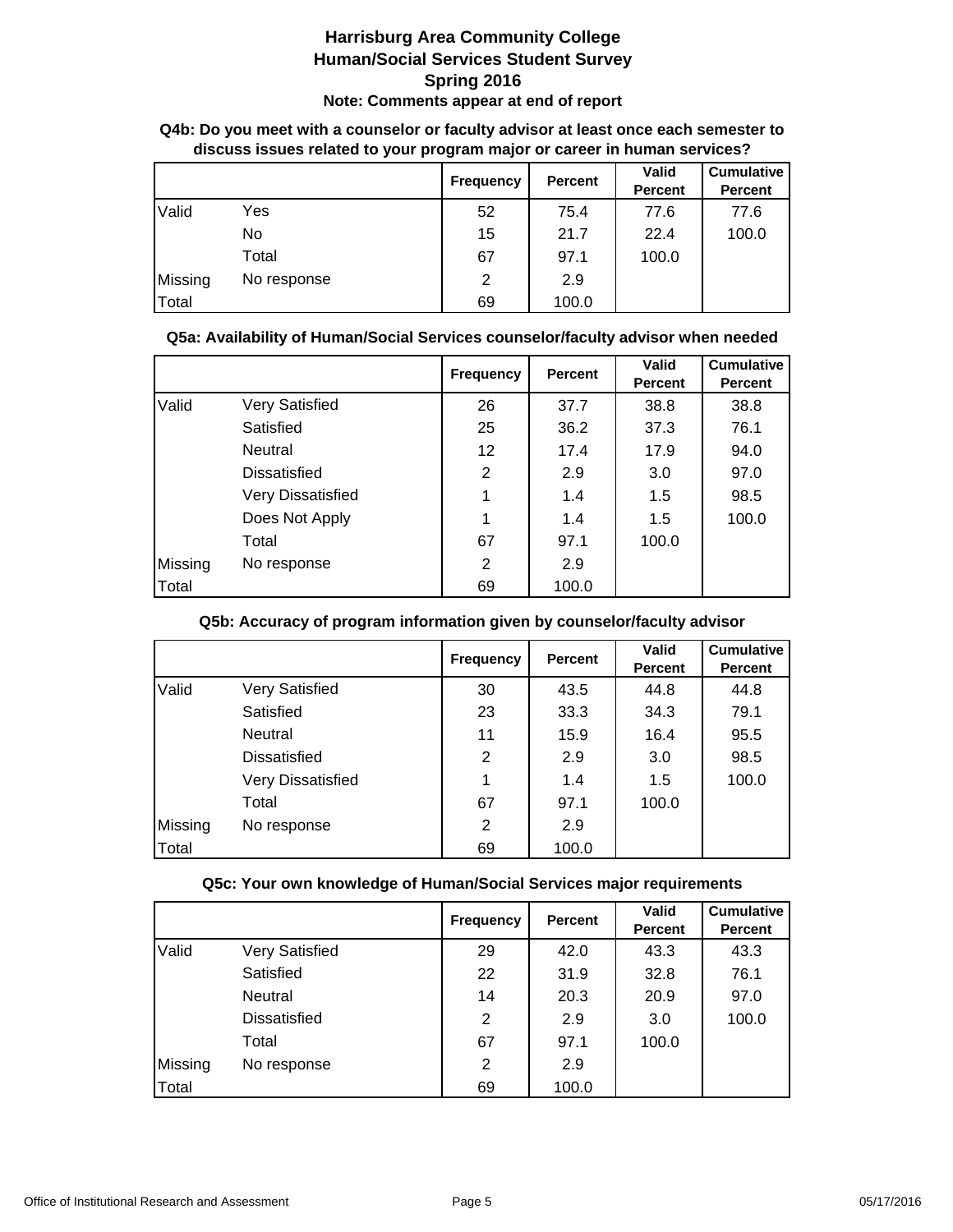| albudda idadus i ciatuu tu yuur prugram majur or caruur in maman surviuca : |             |                  |         |                |                   |  |
|-----------------------------------------------------------------------------|-------------|------------------|---------|----------------|-------------------|--|
|                                                                             |             | <b>Frequency</b> | Percent | <b>Valid</b>   | <b>Cumulative</b> |  |
|                                                                             |             |                  |         | <b>Percent</b> | <b>Percent</b>    |  |
| Valid                                                                       | Yes         | 52               | 75.4    | 77.6           | 77.6              |  |
|                                                                             | No.         | 15               | 21.7    | 22.4           | 100.0             |  |
|                                                                             | Total       | 67               | 97.1    | 100.0          |                   |  |
| Missing                                                                     | No response | 2                | 2.9     |                |                   |  |
| Total                                                                       |             | 69               | 100.0   |                |                   |  |

## **Q4b: Do you meet with a counselor or faculty advisor at least once each semester to discuss issues related to your program major or career in human services?**

## **Q5a: Availability of Human/Social Services counselor/faculty advisor when needed**

|         |                       | <b>Frequency</b> | <b>Percent</b> | Valid<br><b>Percent</b> | <b>Cumulative</b><br><b>Percent</b> |
|---------|-----------------------|------------------|----------------|-------------------------|-------------------------------------|
| Valid   | <b>Very Satisfied</b> | 26               | 37.7           | 38.8                    | 38.8                                |
|         | Satisfied             | 25               | 36.2           | 37.3                    | 76.1                                |
|         | Neutral               | 12               | 17.4           | 17.9                    | 94.0                                |
|         | Dissatisfied          | 2                | 2.9            | 3.0                     | 97.0                                |
|         | Very Dissatisfied     | 1                | 1.4            | 1.5                     | 98.5                                |
|         | Does Not Apply        | 1                | 1.4            | 1.5                     | 100.0                               |
|         | Total                 | 67               | 97.1           | 100.0                   |                                     |
| Missing | No response           | 2                | 2.9            |                         |                                     |
| Total   |                       | 69               | 100.0          |                         |                                     |

## **Q5b: Accuracy of program information given by counselor/faculty advisor**

|         |                          | <b>Frequency</b> | <b>Percent</b> | <b>Valid</b><br><b>Percent</b> | <b>Cumulative</b><br><b>Percent</b> |
|---------|--------------------------|------------------|----------------|--------------------------------|-------------------------------------|
| Valid   | <b>Very Satisfied</b>    | 30               | 43.5           | 44.8                           | 44.8                                |
|         | Satisfied                | 23               | 33.3           | 34.3                           | 79.1                                |
|         | Neutral                  | 11               | 15.9           | 16.4                           | 95.5                                |
|         | Dissatisfied             | 2                | 2.9            | 3.0                            | 98.5                                |
|         | <b>Very Dissatisfied</b> | 1                | 1.4            | 1.5                            | 100.0                               |
|         | Total                    | 67               | 97.1           | 100.0                          |                                     |
| Missing | No response              | 2                | 2.9            |                                |                                     |
| Total   |                          | 69               | 100.0          |                                |                                     |

## **Q5c: Your own knowledge of Human/Social Services major requirements**

|         |                       | <b>Frequency</b> | <b>Percent</b> | <b>Valid</b><br><b>Percent</b> | <b>Cumulative</b><br><b>Percent</b> |
|---------|-----------------------|------------------|----------------|--------------------------------|-------------------------------------|
| Valid   | <b>Very Satisfied</b> | 29               | 42.0           | 43.3                           | 43.3                                |
|         | Satisfied             | 22               | 31.9           | 32.8                           | 76.1                                |
|         | Neutral               | 14               | 20.3           | 20.9                           | 97.0                                |
|         | <b>Dissatisfied</b>   | 2                | 2.9            | 3.0                            | 100.0                               |
|         | Total                 | 67               | 97.1           | 100.0                          |                                     |
| Missing | No response           | 2                | 2.9            |                                |                                     |
| Total   |                       | 69               | 100.0          |                                |                                     |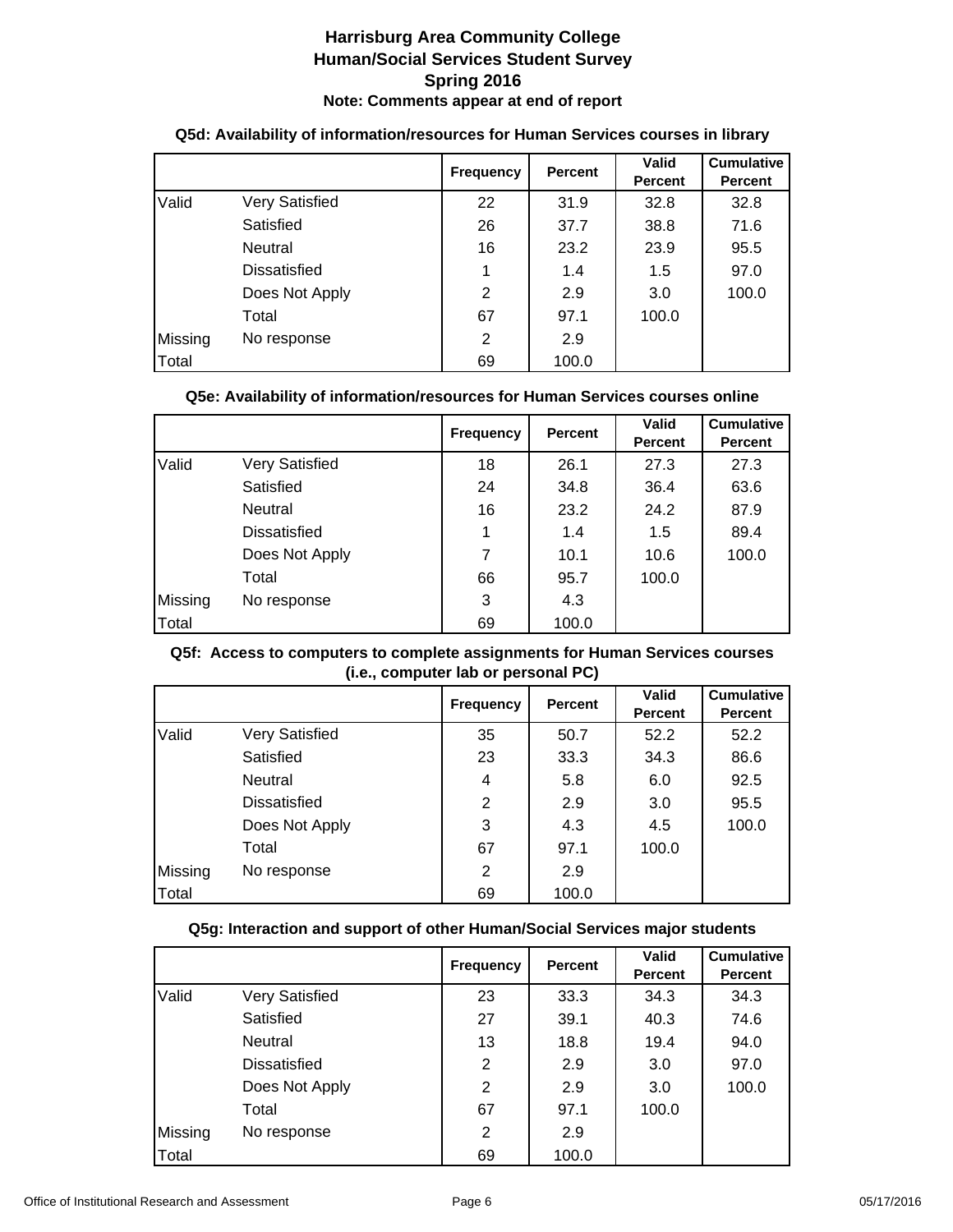|         |                | <b>Frequency</b> | <b>Percent</b> | <b>Valid</b><br><b>Percent</b> | <b>Cumulative</b><br><b>Percent</b> |
|---------|----------------|------------------|----------------|--------------------------------|-------------------------------------|
| Valid   | Very Satisfied | 22               | 31.9           | 32.8                           | 32.8                                |
|         | Satisfied      | 26               | 37.7           | 38.8                           | 71.6                                |
|         | Neutral        | 16               | 23.2           | 23.9                           | 95.5                                |
|         | Dissatisfied   |                  | 1.4            | 1.5                            | 97.0                                |
|         | Does Not Apply | $\overline{2}$   | 2.9            | 3.0                            | 100.0                               |
|         | Total          | 67               | 97.1           | 100.0                          |                                     |
| Missing | No response    | 2                | 2.9            |                                |                                     |
| Total   |                | 69               | 100.0          |                                |                                     |

#### **Q5d: Availability of information/resources for Human Services courses in library**

## **Q5e: Availability of information/resources for Human Services courses online**

|         |                | <b>Frequency</b> | <b>Percent</b> | <b>Valid</b><br><b>Percent</b> | <b>Cumulative</b><br><b>Percent</b> |
|---------|----------------|------------------|----------------|--------------------------------|-------------------------------------|
| Valid   | Very Satisfied | 18               | 26.1           | 27.3                           | 27.3                                |
|         | Satisfied      | 24               | 34.8           | 36.4                           | 63.6                                |
|         | Neutral        | 16               | 23.2           | 24.2                           | 87.9                                |
|         | Dissatisfied   |                  | 1.4            | 1.5                            | 89.4                                |
|         | Does Not Apply |                  | 10.1           | 10.6                           | 100.0                               |
|         | Total          | 66               | 95.7           | 100.0                          |                                     |
| Missing | No response    | 3                | 4.3            |                                |                                     |
| Total   |                | 69               | 100.0          |                                |                                     |

## **Q5f: Access to computers to complete assignments for Human Services courses (i.e., computer lab or personal PC)**

|         |                       | <b>Frequency</b> | <b>Percent</b> | <b>Valid</b><br><b>Percent</b> | <b>Cumulative</b><br><b>Percent</b> |
|---------|-----------------------|------------------|----------------|--------------------------------|-------------------------------------|
| Valid   | <b>Very Satisfied</b> | 35               | 50.7           | 52.2                           | 52.2                                |
|         | Satisfied             | 23               | 33.3           | 34.3                           | 86.6                                |
|         | Neutral               | 4                | 5.8            | 6.0                            | 92.5                                |
|         | <b>Dissatisfied</b>   | $\overline{2}$   | 2.9            | 3.0                            | 95.5                                |
|         | Does Not Apply        | 3                | 4.3            | 4.5                            | 100.0                               |
|         | Total                 | 67               | 97.1           | 100.0                          |                                     |
| Missing | No response           | 2                | 2.9            |                                |                                     |
| Total   |                       | 69               | 100.0          |                                |                                     |

## **Q5g: Interaction and support of other Human/Social Services major students**

|         |                     | <b>Frequency</b> | <b>Percent</b> | <b>Valid</b><br><b>Percent</b> | <b>Cumulative</b><br><b>Percent</b> |
|---------|---------------------|------------------|----------------|--------------------------------|-------------------------------------|
| Valid   | Very Satisfied      | 23               | 33.3           | 34.3                           | 34.3                                |
|         | Satisfied           | 27               | 39.1           | 40.3                           | 74.6                                |
|         | Neutral             | 13               | 18.8           | 19.4                           | 94.0                                |
|         | <b>Dissatisfied</b> | 2                | 2.9            | 3.0                            | 97.0                                |
|         | Does Not Apply      | 2                | 2.9            | 3.0                            | 100.0                               |
|         | Total               | 67               | 97.1           | 100.0                          |                                     |
| Missing | No response         | 2                | 2.9            |                                |                                     |
| Total   |                     | 69               | 100.0          |                                |                                     |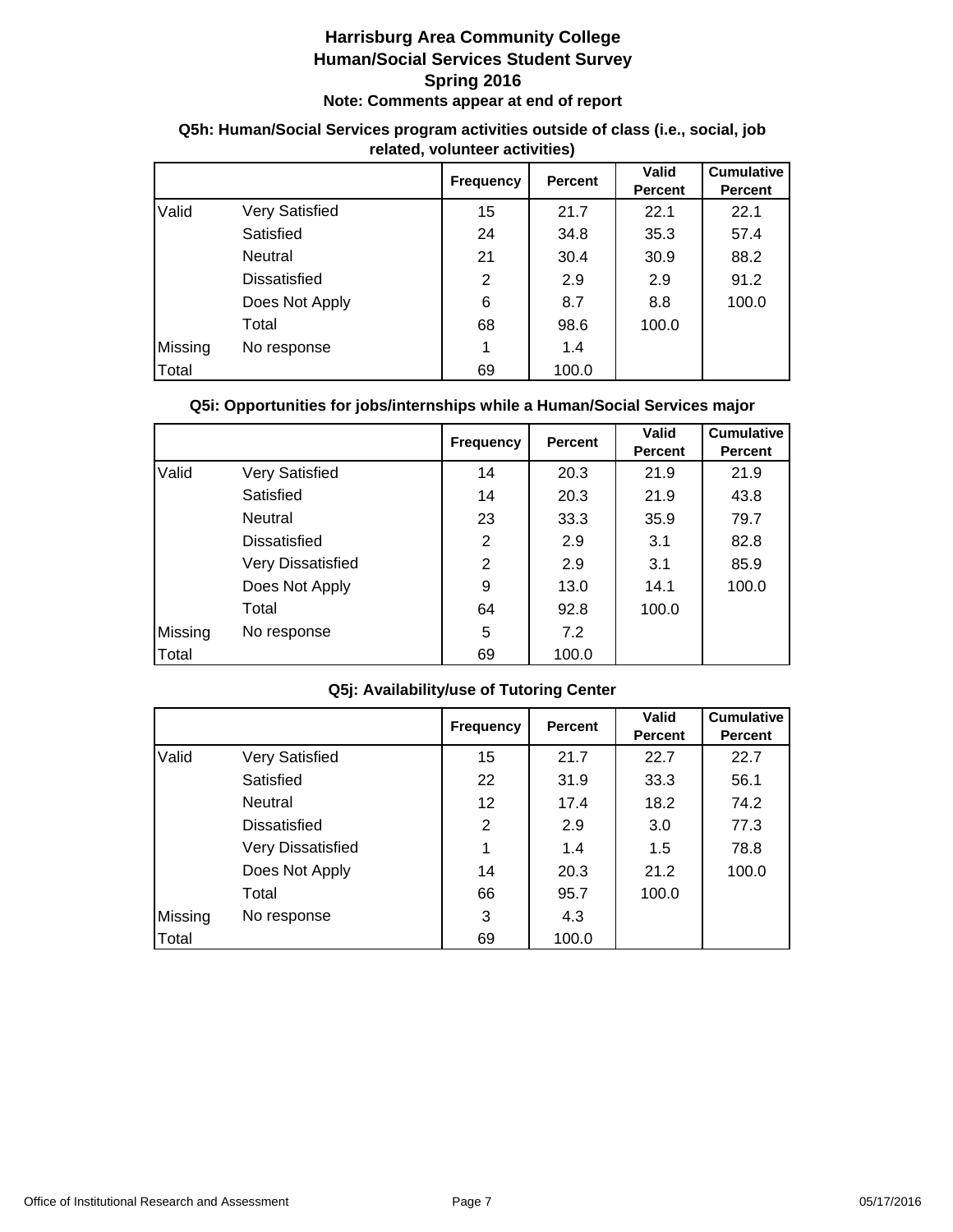|         |                     | <b>Frequency</b> | <b>Percent</b> | <b>Valid</b><br><b>Percent</b> | <b>Cumulative</b><br><b>Percent</b> |  |  |
|---------|---------------------|------------------|----------------|--------------------------------|-------------------------------------|--|--|
| Valid   | Very Satisfied      | 15               | 21.7           | 22.1                           | 22.1                                |  |  |
|         | Satisfied           | 24               | 34.8           | 35.3                           | 57.4                                |  |  |
|         | Neutral             | 21               | 30.4           | 30.9                           | 88.2                                |  |  |
|         | <b>Dissatisfied</b> | $\overline{2}$   | 2.9            | 2.9                            | 91.2                                |  |  |
|         | Does Not Apply      | 6                | 8.7            | 8.8                            | 100.0                               |  |  |
|         | Total               | 68               | 98.6           | 100.0                          |                                     |  |  |
| Missing | No response         |                  | 1.4            |                                |                                     |  |  |
| Total   |                     | 69               | 100.0          |                                |                                     |  |  |

## **Q5h: Human/Social Services program activities outside of class (i.e., social, job related, volunteer activities)**

## **Q5i: Opportunities for jobs/internships while a Human/Social Services major**

|         |                          | <b>Frequency</b> | <b>Percent</b> | <b>Valid</b><br><b>Percent</b> | <b>Cumulative</b><br><b>Percent</b> |
|---------|--------------------------|------------------|----------------|--------------------------------|-------------------------------------|
| Valid   | Very Satisfied           | 14               | 20.3           | 21.9                           | 21.9                                |
|         | Satisfied                | 14               | 20.3           | 21.9                           | 43.8                                |
|         | Neutral                  | 23               | 33.3           | 35.9                           | 79.7                                |
|         | Dissatisfied             | $\overline{2}$   | 2.9            | 3.1                            | 82.8                                |
|         | <b>Very Dissatisfied</b> | $\overline{2}$   | 2.9            | 3.1                            | 85.9                                |
|         | Does Not Apply           | 9                | 13.0           | 14.1                           | 100.0                               |
|         | Total                    | 64               | 92.8           | 100.0                          |                                     |
| Missing | No response              | 5                | 7.2            |                                |                                     |
| Total   |                          | 69               | 100.0          |                                |                                     |

## **Q5j: Availability/use of Tutoring Center**

|         |                          | <b>Frequency</b> | <b>Percent</b> | Valid<br><b>Percent</b> | <b>Cumulative</b><br><b>Percent</b> |
|---------|--------------------------|------------------|----------------|-------------------------|-------------------------------------|
| Valid   | Very Satisfied           | 15               | 21.7           | 22.7                    | 22.7                                |
|         | Satisfied                | 22               | 31.9           | 33.3                    | 56.1                                |
|         | Neutral                  | 12 <sup>2</sup>  | 17.4           | 18.2                    | 74.2                                |
|         | Dissatisfied             | 2                | 2.9            | 3.0                     | 77.3                                |
|         | <b>Very Dissatisfied</b> | 1                | 1.4            | 1.5                     | 78.8                                |
|         | Does Not Apply           | 14               | 20.3           | 21.2                    | 100.0                               |
|         | Total                    | 66               | 95.7           | 100.0                   |                                     |
| Missing | No response              | 3                | 4.3            |                         |                                     |
| Total   |                          | 69               | 100.0          |                         |                                     |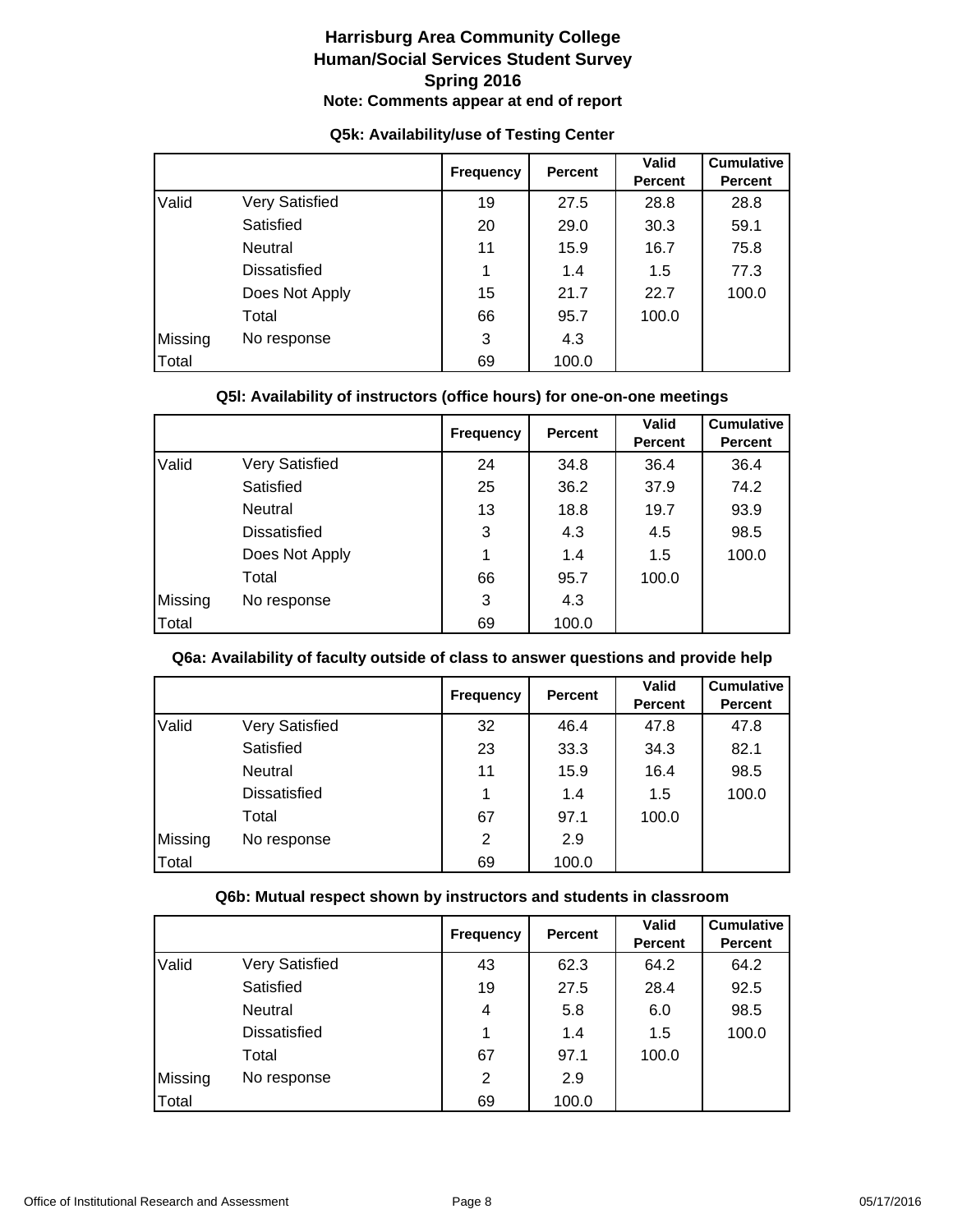|         |                | <b>Frequency</b> | <b>Percent</b> | Valid<br><b>Percent</b> | <b>Cumulative</b><br><b>Percent</b> |
|---------|----------------|------------------|----------------|-------------------------|-------------------------------------|
| Valid   | Very Satisfied | 19               | 27.5           | 28.8                    | 28.8                                |
|         | Satisfied      | 20               | 29.0           | 30.3                    | 59.1                                |
|         | Neutral        | 11               | 15.9           | 16.7                    | 75.8                                |
|         | Dissatisfied   |                  | 1.4            | 1.5                     | 77.3                                |
|         | Does Not Apply | 15               | 21.7           | 22.7                    | 100.0                               |
|         | Total          | 66               | 95.7           | 100.0                   |                                     |
| Missing | No response    | 3                | 4.3            |                         |                                     |
| Total   |                | 69               | 100.0          |                         |                                     |

## **Q5k: Availability/use of Testing Center**

## **Q5l: Availability of instructors (office hours) for one-on-one meetings**

|         |                     | <b>Frequency</b> | <b>Percent</b> | <b>Valid</b><br><b>Percent</b> | <b>Cumulative</b><br><b>Percent</b> |
|---------|---------------------|------------------|----------------|--------------------------------|-------------------------------------|
| Valid   | Very Satisfied      | 24               | 34.8           | 36.4                           | 36.4                                |
|         | Satisfied           | 25               | 36.2           | 37.9                           | 74.2                                |
|         | Neutral             | 13               | 18.8           | 19.7                           | 93.9                                |
|         | <b>Dissatisfied</b> | 3                | 4.3            | 4.5                            | 98.5                                |
|         | Does Not Apply      | 1                | 1.4            | 1.5                            | 100.0                               |
|         | Total               | 66               | 95.7           | 100.0                          |                                     |
| Missing | No response         | 3                | 4.3            |                                |                                     |
| Total   |                     | 69               | 100.0          |                                |                                     |

#### **Q6a: Availability of faculty outside of class to answer questions and provide help**

|         |                       | <b>Frequency</b> | <b>Percent</b> | <b>Valid</b><br><b>Percent</b> | <b>Cumulative</b><br><b>Percent</b> |
|---------|-----------------------|------------------|----------------|--------------------------------|-------------------------------------|
| Valid   | <b>Very Satisfied</b> | 32               | 46.4           | 47.8                           | 47.8                                |
|         | Satisfied             | 23               | 33.3           | 34.3                           | 82.1                                |
|         | Neutral               | 11               | 15.9           | 16.4                           | 98.5                                |
|         | <b>Dissatisfied</b>   |                  | 1.4            | 1.5                            | 100.0                               |
|         | Total                 | 67               | 97.1           | 100.0                          |                                     |
| Missing | No response           | 2                | 2.9            |                                |                                     |
| Total   |                       | 69               | 100.0          |                                |                                     |

#### **Q6b: Mutual respect shown by instructors and students in classroom**

|         |                | <b>Frequency</b> | <b>Percent</b> | <b>Valid</b><br><b>Percent</b> | <b>Cumulative</b><br><b>Percent</b> |
|---------|----------------|------------------|----------------|--------------------------------|-------------------------------------|
| Valid   | Very Satisfied | 43               | 62.3           | 64.2                           | 64.2                                |
|         | Satisfied      | 19               | 27.5           | 28.4                           | 92.5                                |
|         | Neutral        | 4                | 5.8            | 6.0                            | 98.5                                |
|         | Dissatisfied   |                  | 1.4            | 1.5                            | 100.0                               |
|         | Total          | 67               | 97.1           | 100.0                          |                                     |
| Missing | No response    | 2                | 2.9            |                                |                                     |
| Total   |                | 69               | 100.0          |                                |                                     |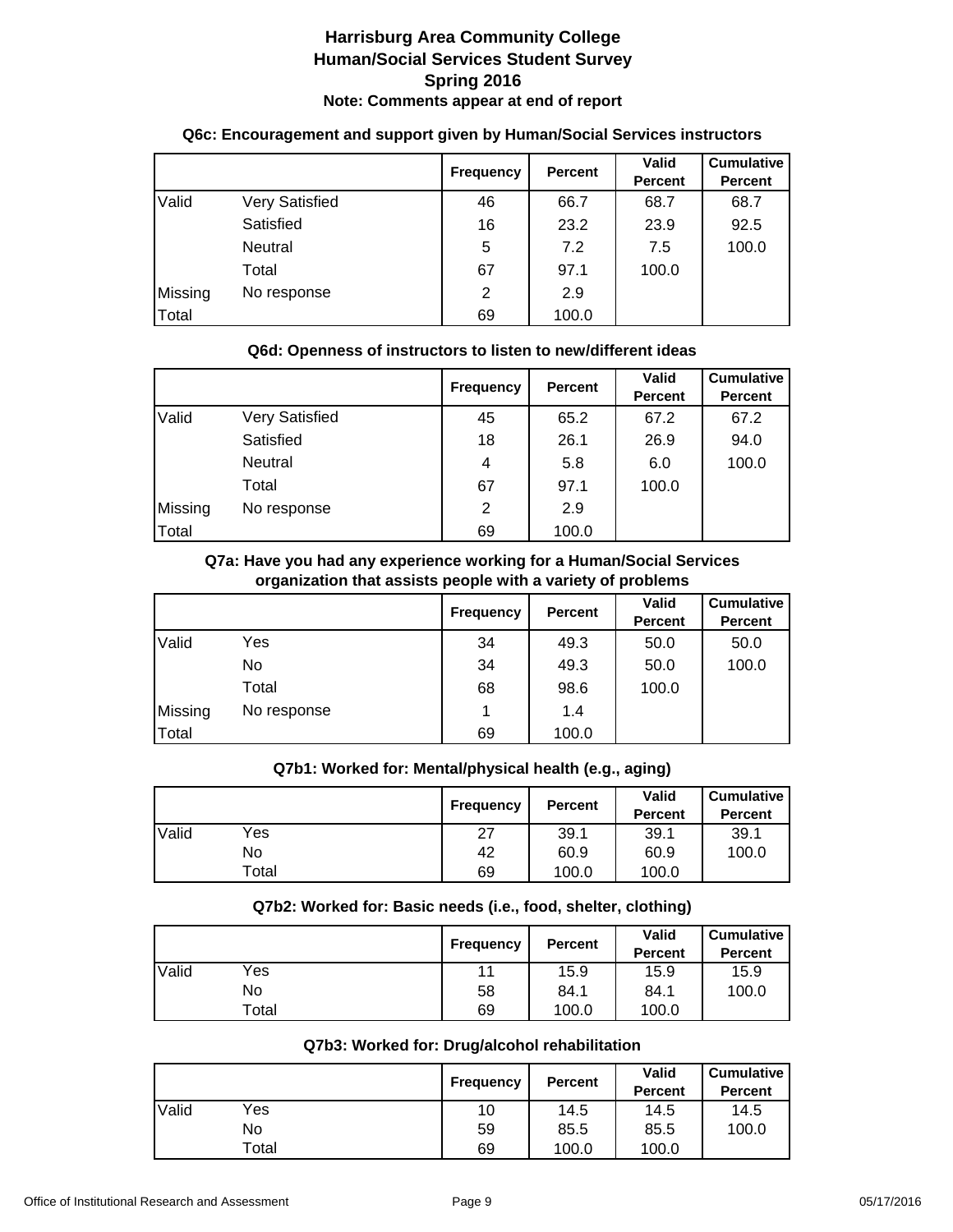|         |                | <b>Frequency</b> | <b>Percent</b> | <b>Valid</b><br>Percent | <b>Cumulative</b><br><b>Percent</b> |
|---------|----------------|------------------|----------------|-------------------------|-------------------------------------|
| Valid   | Very Satisfied | 46               | 66.7           | 68.7                    | 68.7                                |
|         | Satisfied      | 16               | 23.2           | 23.9                    | 92.5                                |
|         | <b>Neutral</b> | 5                | 7.2            | 7.5                     | 100.0                               |
|         | Total          | 67               | 97.1           | 100.0                   |                                     |
| Missing | No response    | 2                | 2.9            |                         |                                     |
| Total   |                | 69               | 100.0          |                         |                                     |

## **Q6c: Encouragement and support given by Human/Social Services instructors**

## **Q6d: Openness of instructors to listen to new/different ideas**

|         |                       | <b>Frequency</b> | Percent | <b>Valid</b><br>Percent | <b>Cumulative</b><br><b>Percent</b> |
|---------|-----------------------|------------------|---------|-------------------------|-------------------------------------|
| Valid   | <b>Very Satisfied</b> | 45               | 65.2    | 67.2                    | 67.2                                |
|         | Satisfied             | 18               | 26.1    | 26.9                    | 94.0                                |
|         | Neutral               | 4                | 5.8     | 6.0                     | 100.0                               |
|         | Total                 | 67               | 97.1    | 100.0                   |                                     |
| Missing | No response           | 2                | 2.9     |                         |                                     |
| Total   |                       | 69               | 100.0   |                         |                                     |

#### **Q7a: Have you had any experience working for a Human/Social Services organization that assists people with a variety of problems**

|         |             | <b>Frequency</b> | <b>Percent</b> | <b>Valid</b><br><b>Percent</b> | <b>Cumulative</b><br><b>Percent</b> |
|---------|-------------|------------------|----------------|--------------------------------|-------------------------------------|
| Valid   | Yes         | 34               | 49.3           | 50.0                           | 50.0                                |
|         | No          | 34               | 49.3           | 50.0                           | 100.0                               |
|         | Total       | 68               | 98.6           | 100.0                          |                                     |
| Missing | No response |                  | 1.4            |                                |                                     |
| Total   |             | 69               | 100.0          |                                |                                     |

## **Q7b1: Worked for: Mental/physical health (e.g., aging)**

|       |       | Frequency | <b>Percent</b> | <b>Valid</b><br><b>Percent</b> | <b>Cumulative</b><br><b>Percent</b> |
|-------|-------|-----------|----------------|--------------------------------|-------------------------------------|
| Valid | Yes   | 27        | 39.1           | 39.1                           | 39.1                                |
|       | No    | 42        | 60.9           | 60.9                           | 100.0                               |
|       | Total | 69        | 100.0          | 100.0                          |                                     |

## **Q7b2: Worked for: Basic needs (i.e., food, shelter, clothing)**

|       |       | Frequency | <b>Percent</b> | <b>Valid</b><br><b>Percent</b> | <b>Cumulative</b><br><b>Percent</b> |
|-------|-------|-----------|----------------|--------------------------------|-------------------------------------|
| Valid | Yes   | 11        | 15.9           | 15.9                           | 15.9                                |
|       | No    | 58        | 84.1           | 84.1                           | 100.0                               |
|       | Total | 69        | 100.0          | 100.0                          |                                     |

## **Q7b3: Worked for: Drug/alcohol rehabilitation**

|       |       | <b>Frequency</b> | <b>Percent</b> | Valid<br><b>Percent</b> | <b>Cumulative</b><br><b>Percent</b> |
|-------|-------|------------------|----------------|-------------------------|-------------------------------------|
| Valid | Yes   | 10               | 14.5           | 14.5                    | 14.5                                |
|       | No    | 59               | 85.5           | 85.5                    | 100.0                               |
|       | Total | 69               | 100.0          | 100.0                   |                                     |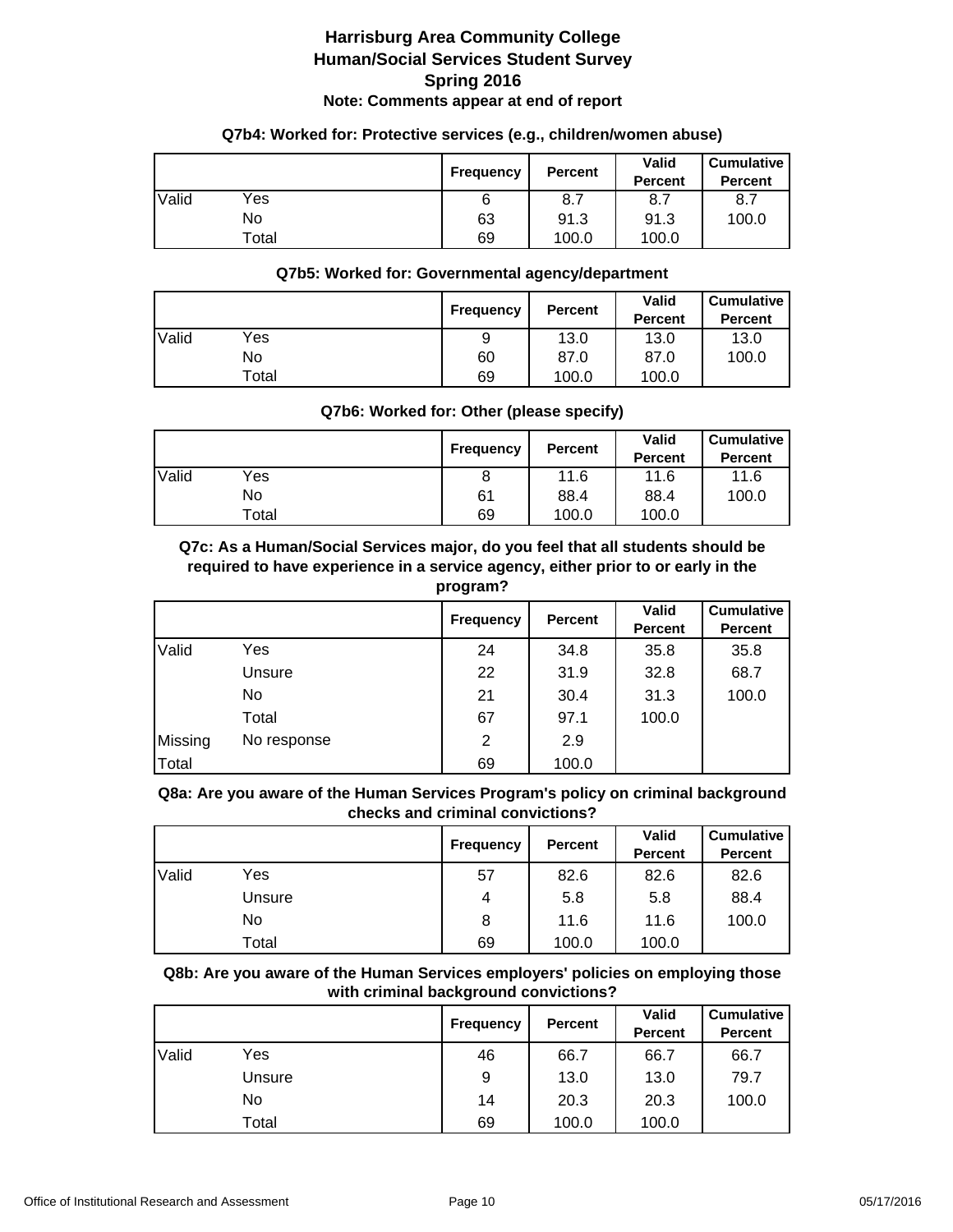#### **Q7b4: Worked for: Protective services (e.g., children/women abuse)**

|       |       | Frequency | <b>Percent</b> | <b>Valid</b><br><b>Percent</b> | <b>Cumulative</b><br><b>Percent</b> |
|-------|-------|-----------|----------------|--------------------------------|-------------------------------------|
| Valid | Yes   |           | 8.7            | 8.7                            | 8.7                                 |
|       | No    | 63        | 91.3           | 91.3                           | 100.0                               |
|       | Total | 69        | 100.0          | 100.0                          |                                     |

#### **Q7b5: Worked for: Governmental agency/department**

|       |       | <b>Frequency</b> | <b>Percent</b> | Valid<br><b>Percent</b> | <b>Cumulative</b><br><b>Percent</b> |
|-------|-------|------------------|----------------|-------------------------|-------------------------------------|
| Valid | Yes   | 9                | 13.0           | 13.0                    | 13.0                                |
|       | No    | 60               | 87.0           | 87.0                    | 100.0                               |
|       | Total | 69               | 100.0          | 100.0                   |                                     |

## **Q7b6: Worked for: Other (please specify)**

|       |       | Frequency | <b>Percent</b> | <b>Valid</b><br><b>Percent</b> | <b>Cumulative</b><br><b>Percent</b> |
|-------|-------|-----------|----------------|--------------------------------|-------------------------------------|
| Valid | Yes   |           | 11.6           | 11.6                           | 11.6                                |
|       | No    | 61        | 88.4           | 88.4                           | 100.0                               |
|       | Total | 69        | 100.0          | 100.0                          |                                     |

**Q7c: As a Human/Social Services major, do you feel that all students should be required to have experience in a service agency, either prior to or early in the program?**

|         |             | <b>Frequency</b> | <b>Percent</b> | <b>Valid</b><br><b>Percent</b> | <b>Cumulative</b><br><b>Percent</b> |
|---------|-------------|------------------|----------------|--------------------------------|-------------------------------------|
| Valid   | Yes         | 24               | 34.8           | 35.8                           | 35.8                                |
|         | Unsure      | 22               | 31.9           | 32.8                           | 68.7                                |
|         | No          | 21               | 30.4           | 31.3                           | 100.0                               |
|         | Total       | 67               | 97.1           | 100.0                          |                                     |
| Missing | No response | 2                | 2.9            |                                |                                     |
| Total   |             | 69               | 100.0          |                                |                                     |

**Q8a: Are you aware of the Human Services Program's policy on criminal background checks and criminal convictions?**

|       |        | <b>Frequency</b> | Percent | <b>Valid</b><br><b>Percent</b> | <b>Cumulative</b><br><b>Percent</b> |
|-------|--------|------------------|---------|--------------------------------|-------------------------------------|
| Valid | Yes    | 57               | 82.6    | 82.6                           | 82.6                                |
|       | Unsure | 4                | 5.8     | 5.8                            | 88.4                                |
|       | No.    | 8                | 11.6    | 11.6                           | 100.0                               |
|       | Total  | 69               | 100.0   | 100.0                          |                                     |

**Q8b: Are you aware of the Human Services employers' policies on employing those with criminal background convictions?**

|       |        | <b>Frequency</b> | <b>Percent</b> | Valid<br><b>Percent</b> | <b>Cumulative</b><br><b>Percent</b> |
|-------|--------|------------------|----------------|-------------------------|-------------------------------------|
| Valid | Yes    | 46               | 66.7           | 66.7                    | 66.7                                |
|       | Unsure | 9                | 13.0           | 13.0                    | 79.7                                |
|       | No.    | 14               | 20.3           | 20.3                    | 100.0                               |
|       | Total  | 69               | 100.0          | 100.0                   |                                     |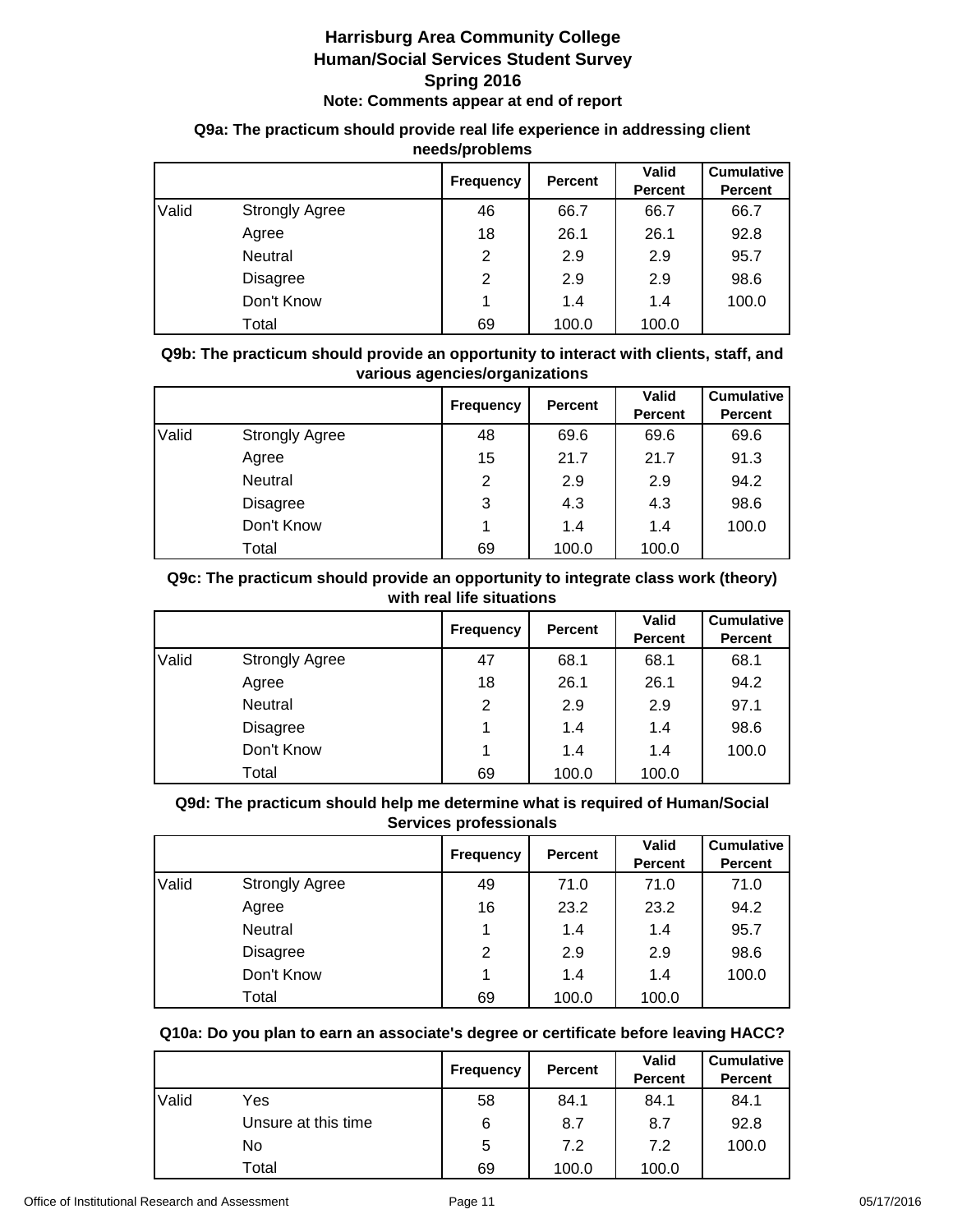## **Q9a: The practicum should provide real life experience in addressing client needs/problems**

|       |                       | <b>Frequency</b> | <b>Percent</b> | <b>Valid</b><br><b>Percent</b> | <b>Cumulative</b><br><b>Percent</b> |
|-------|-----------------------|------------------|----------------|--------------------------------|-------------------------------------|
| Valid | <b>Strongly Agree</b> | 46               | 66.7           | 66.7                           | 66.7                                |
|       | Agree                 | 18               | 26.1           | 26.1                           | 92.8                                |
|       | Neutral               | 2                | 2.9            | 2.9                            | 95.7                                |
|       | <b>Disagree</b>       | 2                | 2.9            | 2.9                            | 98.6                                |
|       | Don't Know            |                  | 1.4            | 1.4                            | 100.0                               |
|       | Total                 | 69               | 100.0          | 100.0                          |                                     |

**Q9b: The practicum should provide an opportunity to interact with clients, staff, and various agencies/organizations**

|       |                       | <b>Frequency</b> | <b>Percent</b> | <b>Valid</b> | <b>Cumulative</b> |
|-------|-----------------------|------------------|----------------|--------------|-------------------|
|       |                       |                  |                | Percent      | <b>Percent</b>    |
| Valid | <b>Strongly Agree</b> | 48               | 69.6           | 69.6         | 69.6              |
|       | Agree                 | 15               | 21.7           | 21.7         | 91.3              |
|       | Neutral               | 2                | 2.9            | 2.9          | 94.2              |
|       | <b>Disagree</b>       | 3                | 4.3            | 4.3          | 98.6              |
|       | Don't Know            | 4                | 1.4            | 1.4          | 100.0             |
|       | Total                 | 69               | 100.0          | 100.0        |                   |

## **Q9c: The practicum should provide an opportunity to integrate class work (theory) with real life situations**

|       |                       | <b>Frequency</b> | Percent | Valid<br><b>Percent</b> | <b>Cumulative</b><br><b>Percent</b> |
|-------|-----------------------|------------------|---------|-------------------------|-------------------------------------|
| Valid | <b>Strongly Agree</b> | 47               | 68.1    | 68.1                    | 68.1                                |
|       | Agree                 | 18               | 26.1    | 26.1                    | 94.2                                |
|       | Neutral               | 2                | 2.9     | 2.9                     | 97.1                                |
|       | <b>Disagree</b>       |                  | 1.4     | 1.4                     | 98.6                                |
|       | Don't Know            |                  | 1.4     | 1.4                     | 100.0                               |
|       | Total                 | 69               | 100.0   | 100.0                   |                                     |

## **Q9d: The practicum should help me determine what is required of Human/Social Services professionals**

|       |                       | <b>Frequency</b> | <b>Percent</b> | Valid<br><b>Percent</b> | <b>Cumulative</b><br><b>Percent</b> |
|-------|-----------------------|------------------|----------------|-------------------------|-------------------------------------|
| Valid | <b>Strongly Agree</b> | 49               | 71.0           | 71.0                    | 71.0                                |
|       | Agree                 | 16               | 23.2           | 23.2                    | 94.2                                |
|       | Neutral               |                  | 1.4            | 1.4                     | 95.7                                |
|       | <b>Disagree</b>       | 2                | 2.9            | 2.9                     | 98.6                                |
|       | Don't Know            |                  | 1.4            | 1.4                     | 100.0                               |
|       | Total                 | 69               | 100.0          | 100.0                   |                                     |

## **Q10a: Do you plan to earn an associate's degree or certificate before leaving HACC?**

|       |                     | Frequency | <b>Percent</b> | <b>Valid</b><br><b>Percent</b> | <b>Cumulative</b><br><b>Percent</b> |
|-------|---------------------|-----------|----------------|--------------------------------|-------------------------------------|
| Valid | Yes                 | 58        | 84.1           | 84.1                           | 84.1                                |
|       | Unsure at this time | 6         | 8.7            | 8.7                            | 92.8                                |
|       | No.                 | 5         | 7.2            | 7.2                            | 100.0                               |
|       | Total               | 69        | 100.0          | 100.0                          |                                     |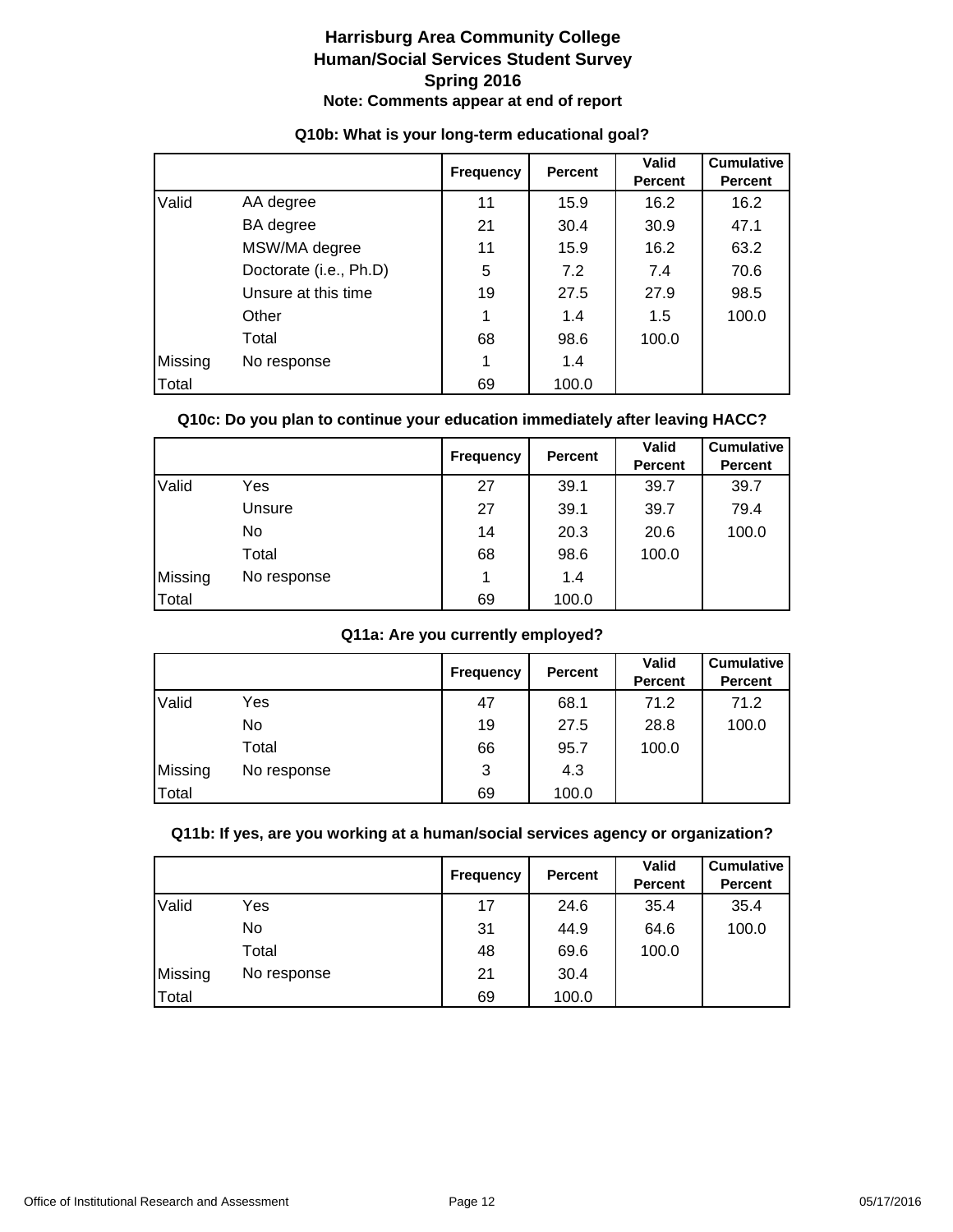|         |                        | <b>Frequency</b> | <b>Percent</b> | Valid<br><b>Percent</b> | <b>Cumulative</b><br><b>Percent</b> |
|---------|------------------------|------------------|----------------|-------------------------|-------------------------------------|
| Valid   | AA degree              | 11               | 15.9           | 16.2                    | 16.2                                |
|         | BA degree              | 21               | 30.4           | 30.9                    | 47.1                                |
|         | MSW/MA degree          | 11               | 15.9           | 16.2                    | 63.2                                |
|         | Doctorate (i.e., Ph.D) | 5                | 7.2            | 7.4                     | 70.6                                |
|         | Unsure at this time    | 19               | 27.5           | 27.9                    | 98.5                                |
|         | Other                  | 1                | 1.4            | 1.5                     | 100.0                               |
|         | Total                  | 68               | 98.6           | 100.0                   |                                     |
| Missing | No response            |                  | 1.4            |                         |                                     |
| Total   |                        | 69               | 100.0          |                         |                                     |

## **Q10b: What is your long-term educational goal?**

## **Q10c: Do you plan to continue your education immediately after leaving HACC?**

|         |             | <b>Frequency</b> | <b>Percent</b> | <b>Valid</b><br>Percent | <b>Cumulative</b><br><b>Percent</b> |
|---------|-------------|------------------|----------------|-------------------------|-------------------------------------|
| Valid   | Yes         | 27               | 39.1           | 39.7                    | 39.7                                |
|         | Unsure      | 27               | 39.1           | 39.7                    | 79.4                                |
|         | No.         | 14               | 20.3           | 20.6                    | 100.0                               |
|         | Total       | 68               | 98.6           | 100.0                   |                                     |
| Missing | No response | 1                | 1.4            |                         |                                     |
| Total   |             | 69               | 100.0          |                         |                                     |

## **Q11a: Are you currently employed?**

|         |             | <b>Frequency</b> | <b>Percent</b> | Valid<br><b>Percent</b> | <b>Cumulative</b><br><b>Percent</b> |
|---------|-------------|------------------|----------------|-------------------------|-------------------------------------|
| Valid   | Yes         | 47               | 68.1           | 71.2                    | 71.2                                |
|         | No          | 19               | 27.5           | 28.8                    | 100.0                               |
|         | Total       | 66               | 95.7           | 100.0                   |                                     |
| Missing | No response | 3                | 4.3            |                         |                                     |
| Total   |             | 69               | 100.0          |                         |                                     |

## **Q11b: If yes, are you working at a human/social services agency or organization?**

|         |             | <b>Frequency</b> | Percent | Valid<br><b>Percent</b> | <b>Cumulative</b><br><b>Percent</b> |
|---------|-------------|------------------|---------|-------------------------|-------------------------------------|
| Valid   | Yes         | 17               | 24.6    | 35.4                    | 35.4                                |
|         | No          | 31               | 44.9    | 64.6                    | 100.0                               |
|         | Total       | 48               | 69.6    | 100.0                   |                                     |
| Missing | No response | 21               | 30.4    |                         |                                     |
| Total   |             | 69               | 100.0   |                         |                                     |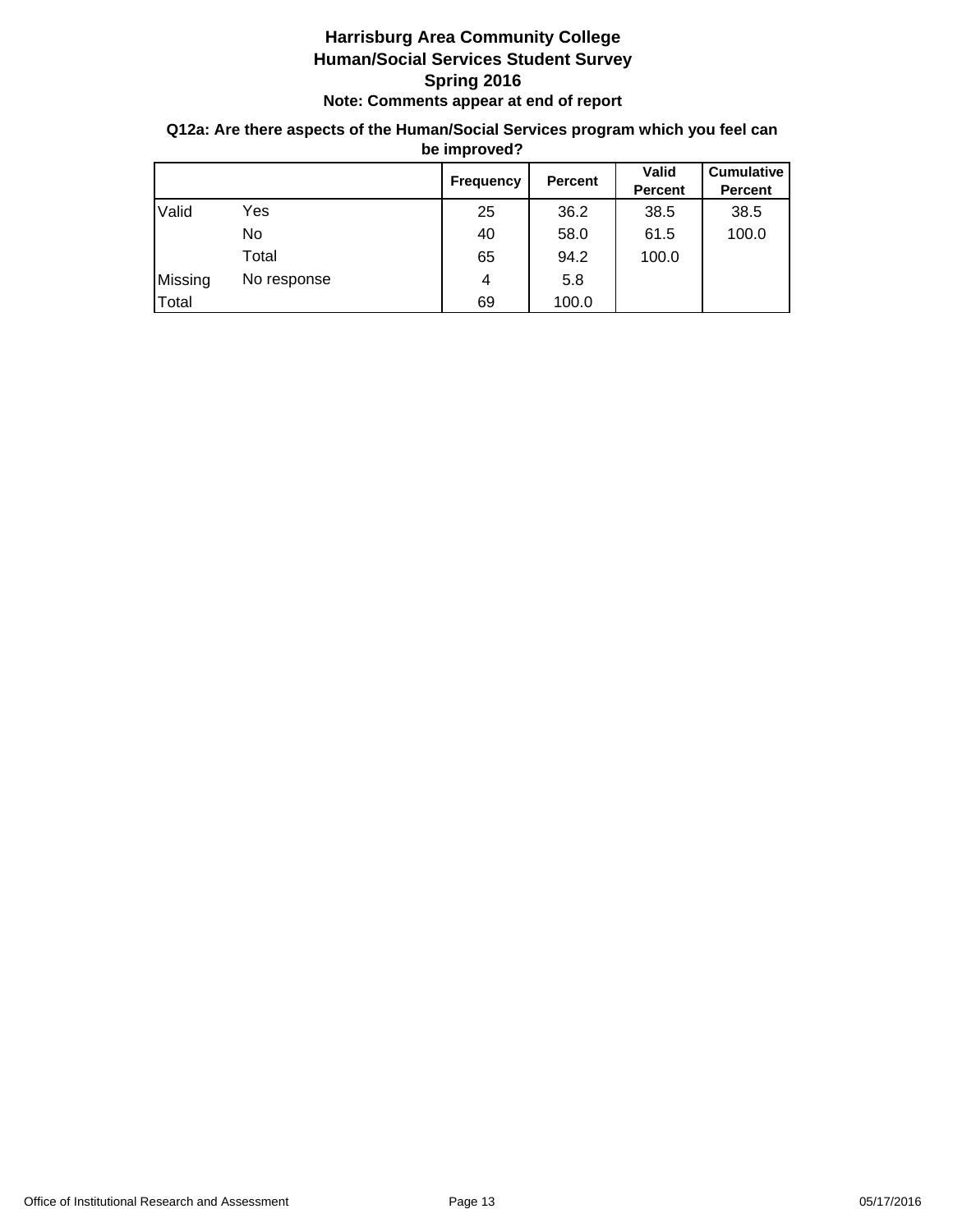## **Q12a: Are there aspects of the Human/Social Services program which you feel can be improved?**

|         |             | <b>Frequency</b> | Percent | <b>Valid</b><br>Percent | <b>Cumulative</b><br><b>Percent</b> |
|---------|-------------|------------------|---------|-------------------------|-------------------------------------|
| Valid   | Yes         | 25               | 36.2    | 38.5                    | 38.5                                |
|         | No          | 40               | 58.0    | 61.5                    | 100.0                               |
|         | Total       | 65               | 94.2    | 100.0                   |                                     |
| Missing | No response | 4                | 5.8     |                         |                                     |
| Total   |             | 69               | 100.0   |                         |                                     |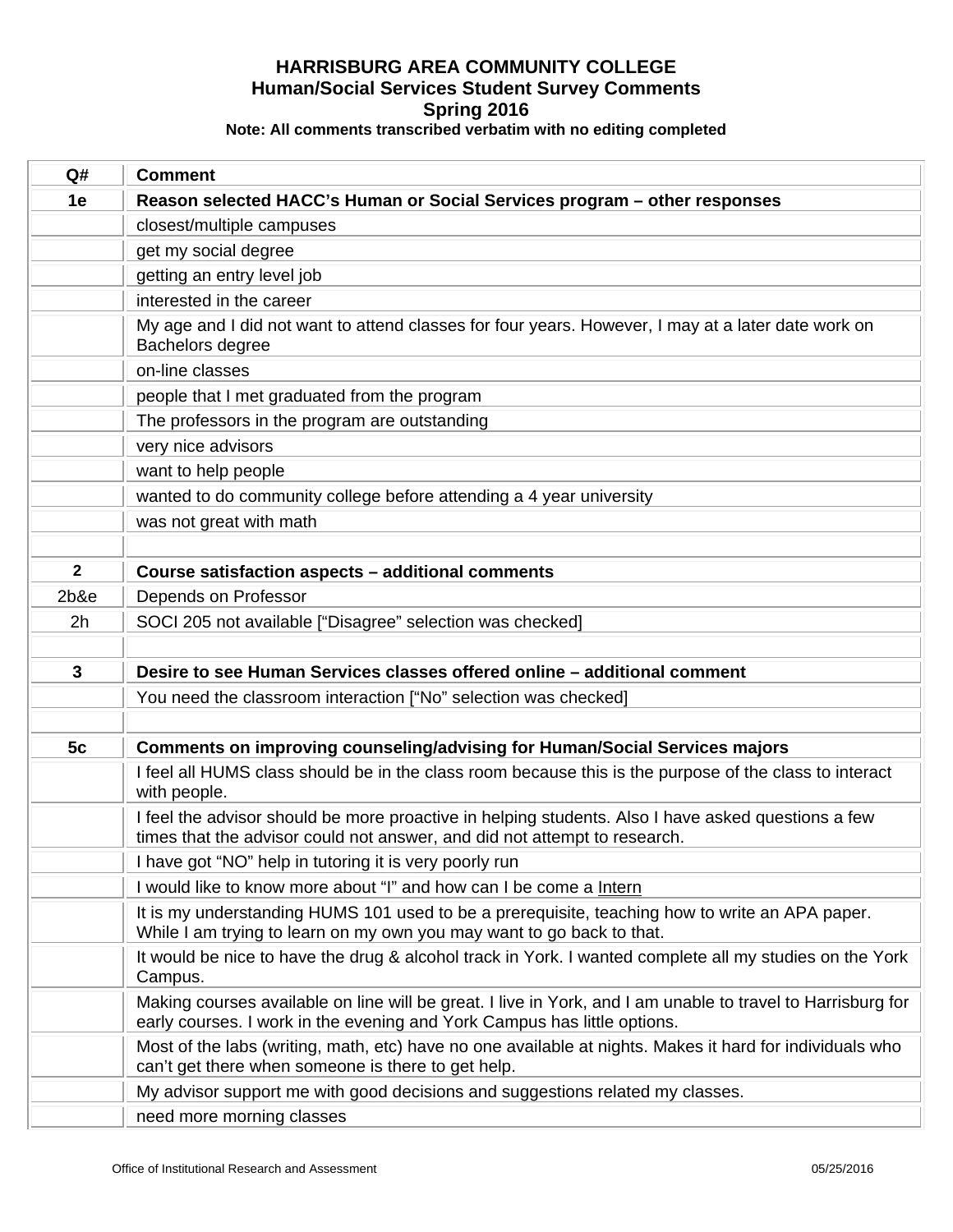| Q#           | <b>Comment</b>                                                                                                                                                                          |
|--------------|-----------------------------------------------------------------------------------------------------------------------------------------------------------------------------------------|
| 1e           | Reason selected HACC's Human or Social Services program – other responses                                                                                                               |
|              | closest/multiple campuses                                                                                                                                                               |
|              | get my social degree                                                                                                                                                                    |
|              | getting an entry level job                                                                                                                                                              |
|              | interested in the career                                                                                                                                                                |
|              | My age and I did not want to attend classes for four years. However, I may at a later date work on<br>Bachelors degree                                                                  |
|              | on-line classes                                                                                                                                                                         |
|              | people that I met graduated from the program                                                                                                                                            |
|              | The professors in the program are outstanding                                                                                                                                           |
|              | very nice advisors                                                                                                                                                                      |
|              | want to help people                                                                                                                                                                     |
|              | wanted to do community college before attending a 4 year university                                                                                                                     |
|              | was not great with math                                                                                                                                                                 |
|              |                                                                                                                                                                                         |
| $\mathbf{2}$ | Course satisfaction aspects - additional comments                                                                                                                                       |
| $2b$ &e      | Depends on Professor                                                                                                                                                                    |
| 2h           | SOCI 205 not available ["Disagree" selection was checked]                                                                                                                               |
|              |                                                                                                                                                                                         |
| 3            | Desire to see Human Services classes offered online - additional comment                                                                                                                |
|              | You need the classroom interaction ["No" selection was checked]                                                                                                                         |
|              |                                                                                                                                                                                         |
| 5c           | <b>Comments on improving counseling/advising for Human/Social Services majors</b>                                                                                                       |
|              | I feel all HUMS class should be in the class room because this is the purpose of the class to interact<br>with people.                                                                  |
|              | I feel the advisor should be more proactive in helping students. Also I have asked questions a few<br>times that the advisor could not answer, and did not attempt to research.         |
|              | I have got "NO" help in tutoring it is very poorly run                                                                                                                                  |
|              | I would like to know more about "I" and how can I be come a Intern                                                                                                                      |
|              | It is my understanding HUMS 101 used to be a prerequisite, teaching how to write an APA paper.<br>While I am trying to learn on my own you may want to go back to that.                 |
|              | It would be nice to have the drug & alcohol track in York. I wanted complete all my studies on the York<br>Campus.                                                                      |
|              | Making courses available on line will be great. I live in York, and I am unable to travel to Harrisburg for<br>early courses. I work in the evening and York Campus has little options. |
|              | Most of the labs (writing, math, etc) have no one available at nights. Makes it hard for individuals who<br>can't get there when someone is there to get help.                          |
|              | My advisor support me with good decisions and suggestions related my classes.                                                                                                           |
|              | need more morning classes                                                                                                                                                               |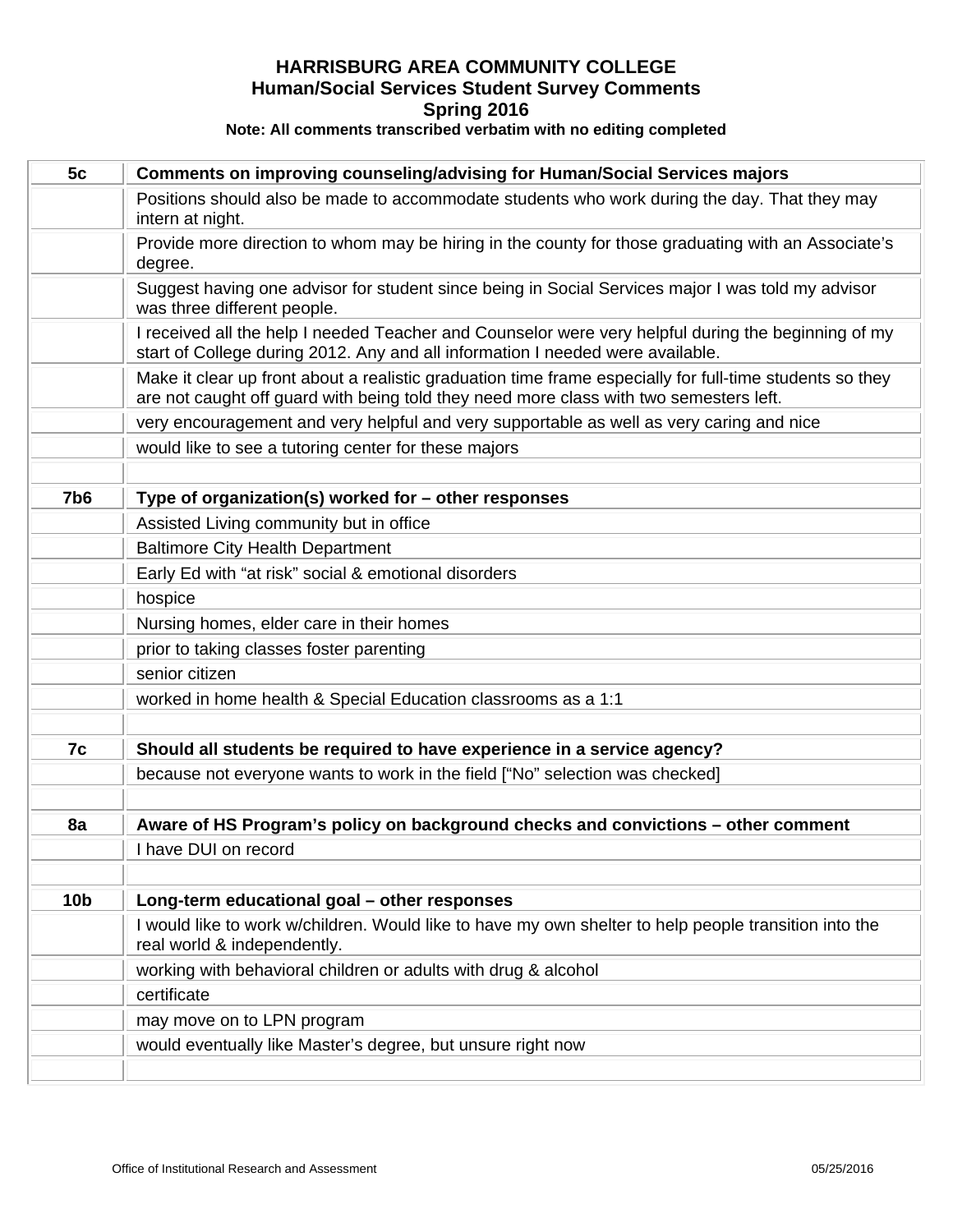| 5c              | <b>Comments on improving counseling/advising for Human/Social Services majors</b>                                                                                                                  |
|-----------------|----------------------------------------------------------------------------------------------------------------------------------------------------------------------------------------------------|
|                 | Positions should also be made to accommodate students who work during the day. That they may<br>intern at night.                                                                                   |
|                 | Provide more direction to whom may be hiring in the county for those graduating with an Associate's<br>degree.                                                                                     |
|                 | Suggest having one advisor for student since being in Social Services major I was told my advisor<br>was three different people.                                                                   |
|                 | I received all the help I needed Teacher and Counselor were very helpful during the beginning of my<br>start of College during 2012. Any and all information I needed were available.              |
|                 | Make it clear up front about a realistic graduation time frame especially for full-time students so they<br>are not caught off guard with being told they need more class with two semesters left. |
|                 | very encouragement and very helpful and very supportable as well as very caring and nice                                                                                                           |
|                 | would like to see a tutoring center for these majors                                                                                                                                               |
|                 |                                                                                                                                                                                                    |
| 7b <sub>6</sub> | Type of organization(s) worked for - other responses                                                                                                                                               |
|                 | Assisted Living community but in office                                                                                                                                                            |
|                 | <b>Baltimore City Health Department</b>                                                                                                                                                            |
|                 | Early Ed with "at risk" social & emotional disorders                                                                                                                                               |
|                 | hospice                                                                                                                                                                                            |
|                 | Nursing homes, elder care in their homes                                                                                                                                                           |
|                 | prior to taking classes foster parenting                                                                                                                                                           |
|                 | senior citizen                                                                                                                                                                                     |
|                 | worked in home health & Special Education classrooms as a 1:1                                                                                                                                      |
| 7c              | Should all students be required to have experience in a service agency?                                                                                                                            |
|                 | because not everyone wants to work in the field ["No" selection was checked]                                                                                                                       |
| 8a              | Aware of HS Program's policy on background checks and convictions - other comment                                                                                                                  |
|                 | I have DUI on record                                                                                                                                                                               |
| 10 <sub>b</sub> | Long-term educational goal - other responses                                                                                                                                                       |
|                 | I would like to work w/children. Would like to have my own shelter to help people transition into the<br>real world & independently.                                                               |
|                 | working with behavioral children or adults with drug & alcohol                                                                                                                                     |
|                 | certificate                                                                                                                                                                                        |
|                 | may move on to LPN program                                                                                                                                                                         |
|                 | would eventually like Master's degree, but unsure right now                                                                                                                                        |
|                 |                                                                                                                                                                                                    |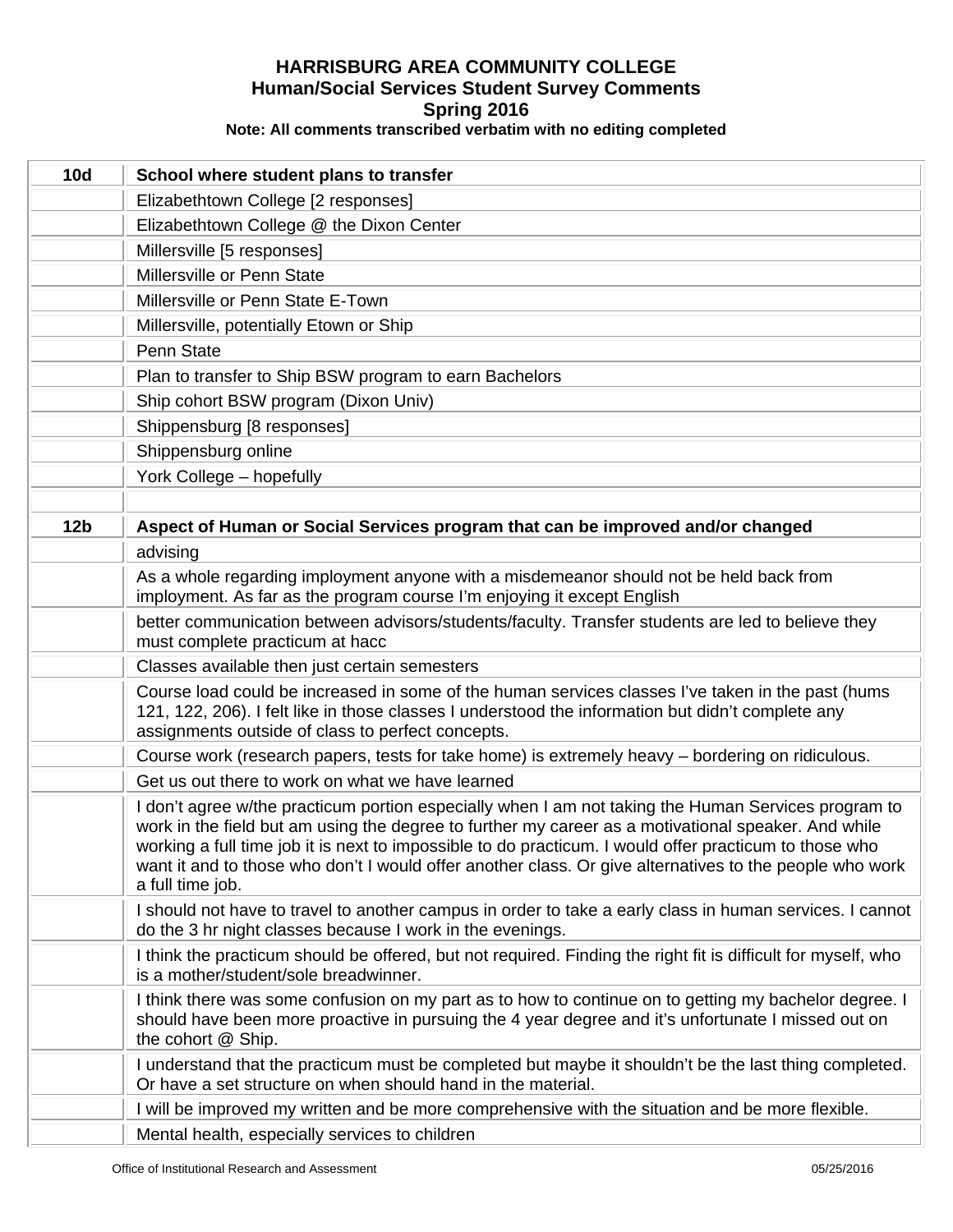| <b>10d</b>      | School where student plans to transfer                                                                                                                                                                                                                                                                                                                                                                                                              |
|-----------------|-----------------------------------------------------------------------------------------------------------------------------------------------------------------------------------------------------------------------------------------------------------------------------------------------------------------------------------------------------------------------------------------------------------------------------------------------------|
|                 | Elizabethtown College [2 responses]                                                                                                                                                                                                                                                                                                                                                                                                                 |
|                 | Elizabethtown College @ the Dixon Center                                                                                                                                                                                                                                                                                                                                                                                                            |
|                 | Millersville [5 responses]                                                                                                                                                                                                                                                                                                                                                                                                                          |
|                 | Millersville or Penn State                                                                                                                                                                                                                                                                                                                                                                                                                          |
|                 | Millersville or Penn State E-Town                                                                                                                                                                                                                                                                                                                                                                                                                   |
|                 | Millersville, potentially Etown or Ship                                                                                                                                                                                                                                                                                                                                                                                                             |
|                 | Penn State                                                                                                                                                                                                                                                                                                                                                                                                                                          |
|                 | Plan to transfer to Ship BSW program to earn Bachelors                                                                                                                                                                                                                                                                                                                                                                                              |
|                 | Ship cohort BSW program (Dixon Univ)                                                                                                                                                                                                                                                                                                                                                                                                                |
|                 | Shippensburg [8 responses]                                                                                                                                                                                                                                                                                                                                                                                                                          |
|                 | Shippensburg online                                                                                                                                                                                                                                                                                                                                                                                                                                 |
|                 | York College - hopefully                                                                                                                                                                                                                                                                                                                                                                                                                            |
|                 |                                                                                                                                                                                                                                                                                                                                                                                                                                                     |
| 12 <sub>b</sub> | Aspect of Human or Social Services program that can be improved and/or changed                                                                                                                                                                                                                                                                                                                                                                      |
|                 | advising                                                                                                                                                                                                                                                                                                                                                                                                                                            |
|                 | As a whole regarding imployment anyone with a misdemeanor should not be held back from<br>imployment. As far as the program course I'm enjoying it except English                                                                                                                                                                                                                                                                                   |
|                 | better communication between advisors/students/faculty. Transfer students are led to believe they<br>must complete practicum at hacc                                                                                                                                                                                                                                                                                                                |
|                 | Classes available then just certain semesters                                                                                                                                                                                                                                                                                                                                                                                                       |
|                 | Course load could be increased in some of the human services classes I've taken in the past (hums<br>121, 122, 206). I felt like in those classes I understood the information but didn't complete any<br>assignments outside of class to perfect concepts.                                                                                                                                                                                         |
|                 | Course work (research papers, tests for take home) is extremely heavy - bordering on ridiculous.                                                                                                                                                                                                                                                                                                                                                    |
|                 | Get us out there to work on what we have learned                                                                                                                                                                                                                                                                                                                                                                                                    |
|                 | I don't agree w/the practicum portion especially when I am not taking the Human Services program to<br>work in the field but am using the degree to further my career as a motivational speaker. And while<br>working a full time job it is next to impossible to do practicum. I would offer practicum to those who<br>want it and to those who don't I would offer another class. Or give alternatives to the people who work<br>a full time job. |
|                 | I should not have to travel to another campus in order to take a early class in human services. I cannot<br>do the 3 hr night classes because I work in the evenings.                                                                                                                                                                                                                                                                               |
|                 | I think the practicum should be offered, but not required. Finding the right fit is difficult for myself, who<br>is a mother/student/sole breadwinner.                                                                                                                                                                                                                                                                                              |
|                 | I think there was some confusion on my part as to how to continue on to getting my bachelor degree. I<br>should have been more proactive in pursuing the 4 year degree and it's unfortunate I missed out on<br>the cohort @ Ship.                                                                                                                                                                                                                   |
|                 | I understand that the practicum must be completed but maybe it shouldn't be the last thing completed.<br>Or have a set structure on when should hand in the material.                                                                                                                                                                                                                                                                               |
|                 | I will be improved my written and be more comprehensive with the situation and be more flexible.                                                                                                                                                                                                                                                                                                                                                    |
|                 | Mental health, especially services to children                                                                                                                                                                                                                                                                                                                                                                                                      |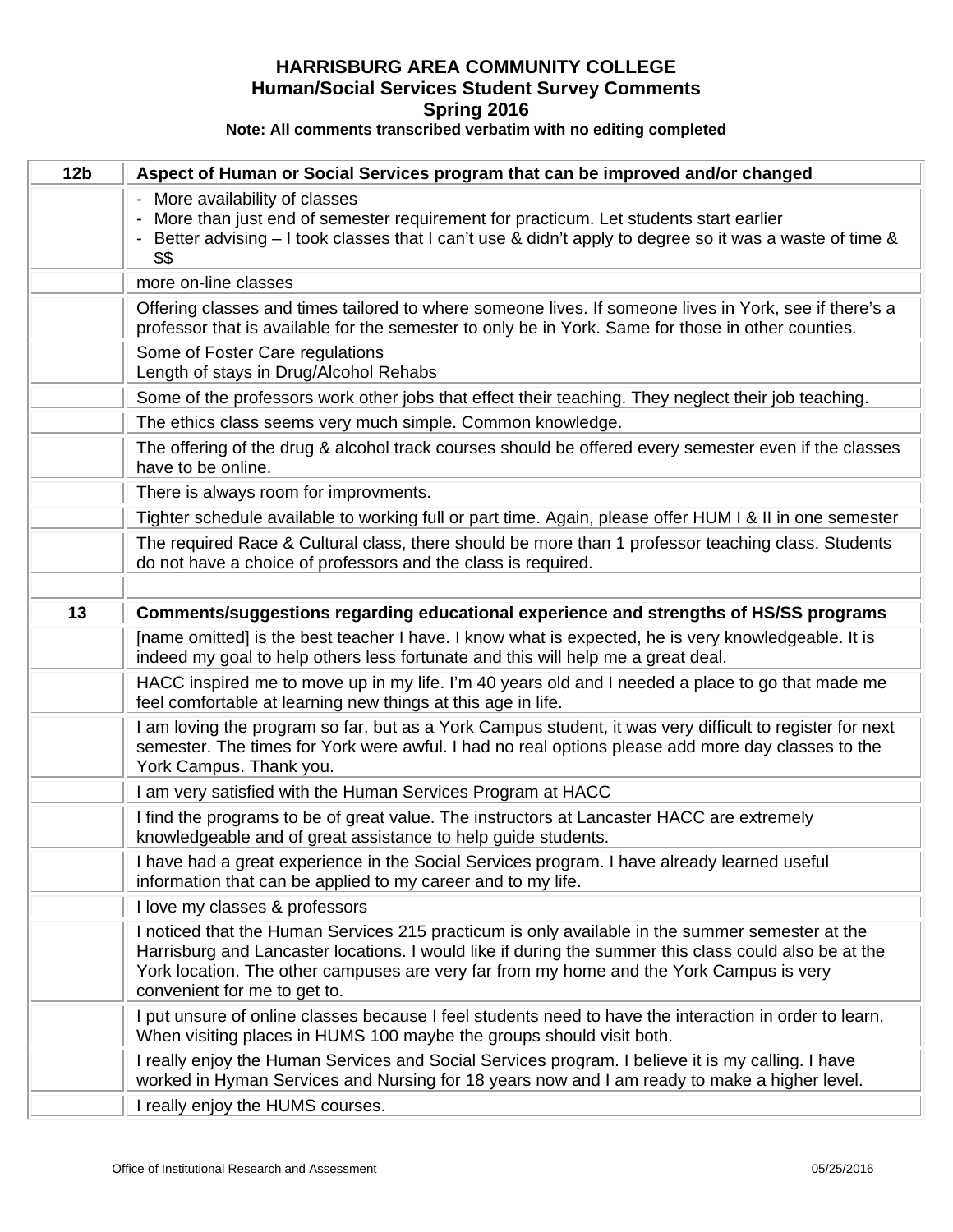| 12 <sub>b</sub> | Aspect of Human or Social Services program that can be improved and/or changed                                                                                                                                                                                                                                                      |
|-----------------|-------------------------------------------------------------------------------------------------------------------------------------------------------------------------------------------------------------------------------------------------------------------------------------------------------------------------------------|
|                 | - More availability of classes<br>- More than just end of semester requirement for practicum. Let students start earlier<br>- Better advising - I took classes that I can't use & didn't apply to degree so it was a waste of time &<br>\$\$                                                                                        |
|                 | more on-line classes                                                                                                                                                                                                                                                                                                                |
|                 | Offering classes and times tailored to where someone lives. If someone lives in York, see if there's a<br>professor that is available for the semester to only be in York. Same for those in other counties.                                                                                                                        |
|                 | Some of Foster Care regulations<br>Length of stays in Drug/Alcohol Rehabs                                                                                                                                                                                                                                                           |
|                 | Some of the professors work other jobs that effect their teaching. They neglect their job teaching.                                                                                                                                                                                                                                 |
|                 | The ethics class seems very much simple. Common knowledge.                                                                                                                                                                                                                                                                          |
|                 | The offering of the drug & alcohol track courses should be offered every semester even if the classes<br>have to be online.                                                                                                                                                                                                         |
|                 | There is always room for improvments.                                                                                                                                                                                                                                                                                               |
|                 | Tighter schedule available to working full or part time. Again, please offer HUM I & II in one semester                                                                                                                                                                                                                             |
|                 | The required Race & Cultural class, there should be more than 1 professor teaching class. Students<br>do not have a choice of professors and the class is required.                                                                                                                                                                 |
|                 |                                                                                                                                                                                                                                                                                                                                     |
| 13              | Comments/suggestions regarding educational experience and strengths of HS/SS programs                                                                                                                                                                                                                                               |
|                 | [name omitted] is the best teacher I have. I know what is expected, he is very knowledgeable. It is<br>indeed my goal to help others less fortunate and this will help me a great deal.                                                                                                                                             |
|                 | HACC inspired me to move up in my life. I'm 40 years old and I needed a place to go that made me<br>feel comfortable at learning new things at this age in life.                                                                                                                                                                    |
|                 | I am loving the program so far, but as a York Campus student, it was very difficult to register for next<br>semester. The times for York were awful. I had no real options please add more day classes to the<br>York Campus. Thank you.                                                                                            |
|                 | I am very satisfied with the Human Services Program at HACC                                                                                                                                                                                                                                                                         |
|                 | I find the programs to be of great value. The instructors at Lancaster HACC are extremely<br>knowledgeable and of great assistance to help guide students.                                                                                                                                                                          |
|                 | I have had a great experience in the Social Services program. I have already learned useful<br>information that can be applied to my career and to my life.                                                                                                                                                                         |
|                 | I love my classes & professors                                                                                                                                                                                                                                                                                                      |
|                 | I noticed that the Human Services 215 practicum is only available in the summer semester at the<br>Harrisburg and Lancaster locations. I would like if during the summer this class could also be at the<br>York location. The other campuses are very far from my home and the York Campus is very<br>convenient for me to get to. |
|                 | I put unsure of online classes because I feel students need to have the interaction in order to learn.<br>When visiting places in HUMS 100 maybe the groups should visit both.                                                                                                                                                      |
|                 | I really enjoy the Human Services and Social Services program. I believe it is my calling. I have<br>worked in Hyman Services and Nursing for 18 years now and I am ready to make a higher level.                                                                                                                                   |
|                 | I really enjoy the HUMS courses.                                                                                                                                                                                                                                                                                                    |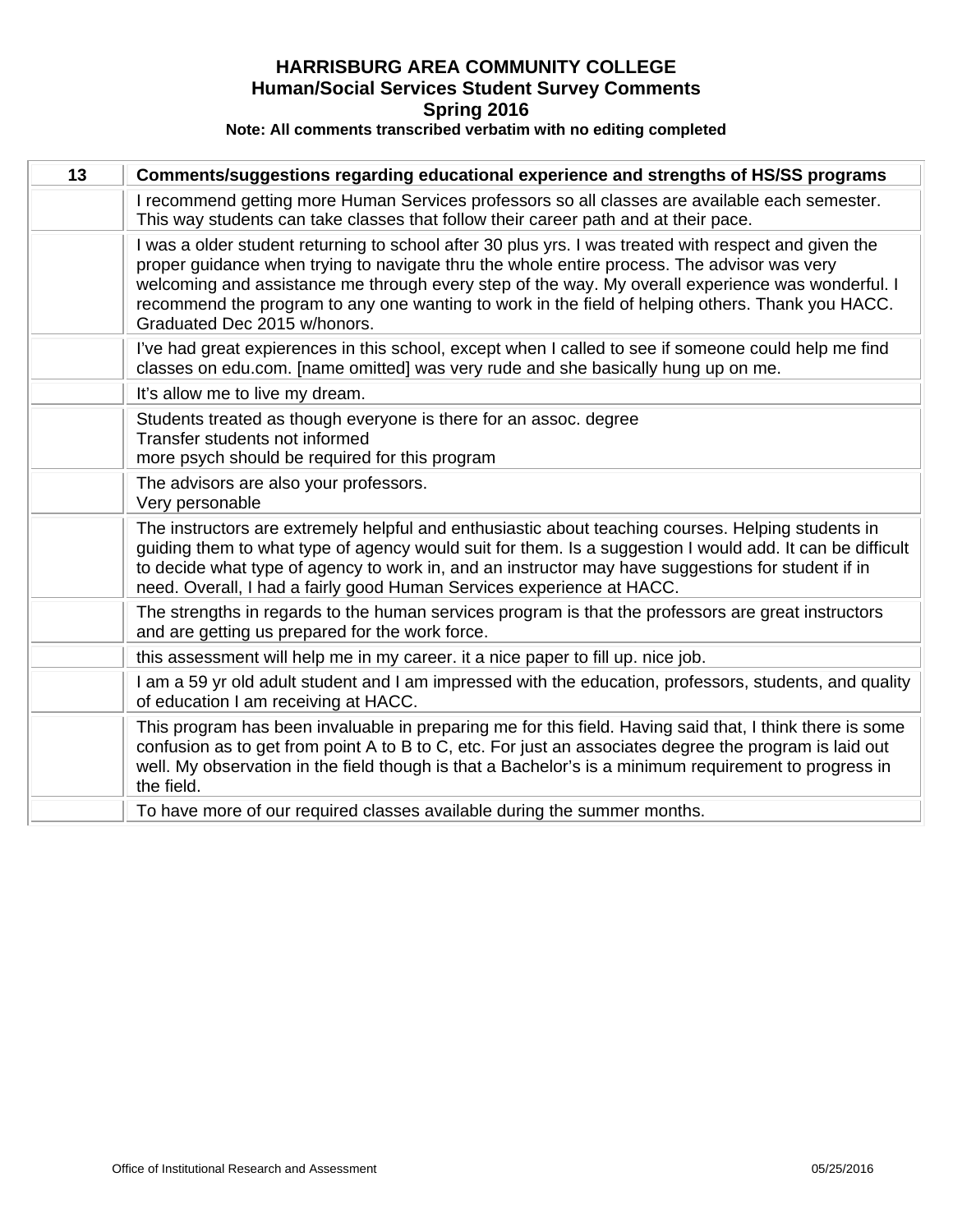| 13 | Comments/suggestions regarding educational experience and strengths of HS/SS programs                                                                                                                                                                                                                                                                                                                                                         |
|----|-----------------------------------------------------------------------------------------------------------------------------------------------------------------------------------------------------------------------------------------------------------------------------------------------------------------------------------------------------------------------------------------------------------------------------------------------|
|    | I recommend getting more Human Services professors so all classes are available each semester.<br>This way students can take classes that follow their career path and at their pace.                                                                                                                                                                                                                                                         |
|    | I was a older student returning to school after 30 plus yrs. I was treated with respect and given the<br>proper guidance when trying to navigate thru the whole entire process. The advisor was very<br>welcoming and assistance me through every step of the way. My overall experience was wonderful. I<br>recommend the program to any one wanting to work in the field of helping others. Thank you HACC.<br>Graduated Dec 2015 w/honors. |
|    | I've had great expierences in this school, except when I called to see if someone could help me find<br>classes on edu.com. [name omitted] was very rude and she basically hung up on me.                                                                                                                                                                                                                                                     |
|    | It's allow me to live my dream.                                                                                                                                                                                                                                                                                                                                                                                                               |
|    | Students treated as though everyone is there for an assoc. degree<br>Transfer students not informed<br>more psych should be required for this program                                                                                                                                                                                                                                                                                         |
|    | The advisors are also your professors.<br>Very personable                                                                                                                                                                                                                                                                                                                                                                                     |
|    | The instructors are extremely helpful and enthusiastic about teaching courses. Helping students in<br>guiding them to what type of agency would suit for them. Is a suggestion I would add. It can be difficult<br>to decide what type of agency to work in, and an instructor may have suggestions for student if in<br>need. Overall, I had a fairly good Human Services experience at HACC.                                                |
|    | The strengths in regards to the human services program is that the professors are great instructors<br>and are getting us prepared for the work force.                                                                                                                                                                                                                                                                                        |
|    | this assessment will help me in my career. it a nice paper to fill up. nice job.                                                                                                                                                                                                                                                                                                                                                              |
|    | I am a 59 yr old adult student and I am impressed with the education, professors, students, and quality<br>of education I am receiving at HACC.                                                                                                                                                                                                                                                                                               |
|    | This program has been invaluable in preparing me for this field. Having said that, I think there is some<br>confusion as to get from point A to B to C, etc. For just an associates degree the program is laid out<br>well. My observation in the field though is that a Bachelor's is a minimum requirement to progress in<br>the field.                                                                                                     |
|    | To have more of our required classes available during the summer months.                                                                                                                                                                                                                                                                                                                                                                      |